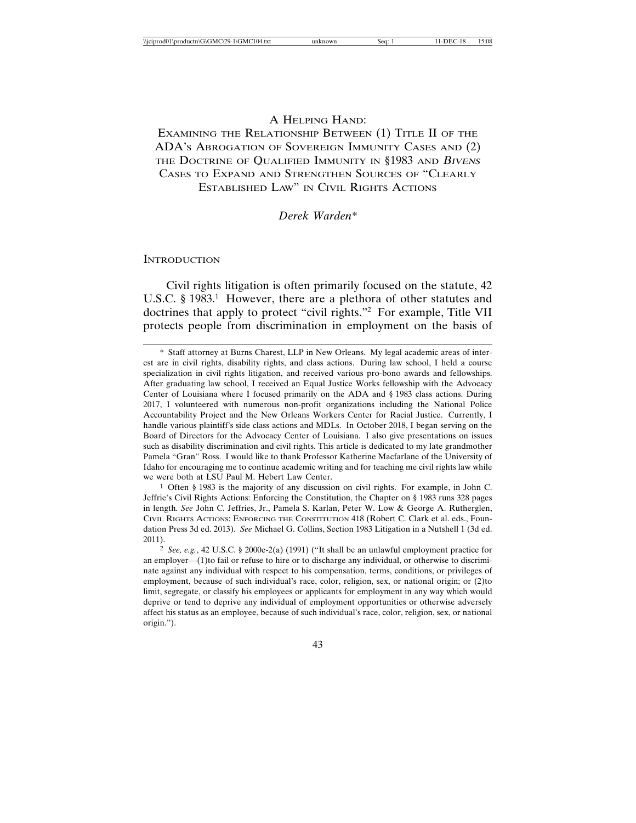## A HELPING HAND:

# EXAMINING THE RELATIONSHIP BETWEEN (1) TITLE II OF THE ADA'S ABROGATION OF SOVEREIGN IMMUNITY CASES AND (2) THE DOCTRINE OF QUALIFIED IMMUNITY IN §1983 AND BIVENS CASES TO EXPAND AND STRENGTHEN SOURCES OF "CLEARLY ESTABLISHED LAW" IN CIVIL RIGHTS ACTIONS

### *Derek Warden\**

#### **INTRODUCTION**

Civil rights litigation is often primarily focused on the statute, 42 U.S.C. § 1983.<sup>1</sup> However, there are a plethora of other statutes and doctrines that apply to protect "civil rights."2 For example, Title VII protects people from discrimination in employment on the basis of

<sup>\*</sup> Staff attorney at Burns Charest, LLP in New Orleans. My legal academic areas of interest are in civil rights, disability rights, and class actions. During law school, I held a course specialization in civil rights litigation, and received various pro-bono awards and fellowships. After graduating law school, I received an Equal Justice Works fellowship with the Advocacy Center of Louisiana where I focused primarily on the ADA and § 1983 class actions. During 2017, I volunteered with numerous non-profit organizations including the National Police Accountability Project and the New Orleans Workers Center for Racial Justice. Currently, I handle various plaintiff's side class actions and MDLs. In October 2018, I began serving on the Board of Directors for the Advocacy Center of Louisiana. I also give presentations on issues such as disability discrimination and civil rights. This article is dedicated to my late grandmother Pamela "Gran" Ross. I would like to thank Professor Katherine Macfarlane of the University of Idaho for encouraging me to continue academic writing and for teaching me civil rights law while we were both at LSU Paul M. Hebert Law Center.

<sup>1</sup> Often § 1983 is the majority of any discussion on civil rights. For example, in John C. Jeffrie's Civil Rights Actions: Enforcing the Constitution, the Chapter on § 1983 runs 328 pages in length. *See* John C. Jeffries, Jr., Pamela S. Karlan, Peter W. Low & George A. Rutherglen, CIVIL RIGHTS ACTIONS: ENFORCING THE CONSTITUTION 418 (Robert C. Clark et al. eds., Foundation Press 3d ed. 2013). *See* Michael G. Collins, Section 1983 Litigation in a Nutshell 1 (3d ed. 2011).

<sup>2</sup> *See, e.g.*, 42 U.S.C. § 2000e-2(a) (1991) ("It shall be an unlawful employment practice for an employer—(1)to fail or refuse to hire or to discharge any individual, or otherwise to discriminate against any individual with respect to his compensation, terms, conditions, or privileges of employment, because of such individual's race, color, religion, sex, or national origin; or (2)to limit, segregate, or classify his employees or applicants for employment in any way which would deprive or tend to deprive any individual of employment opportunities or otherwise adversely affect his status as an employee, because of such individual's race, color, religion, sex, or national origin.").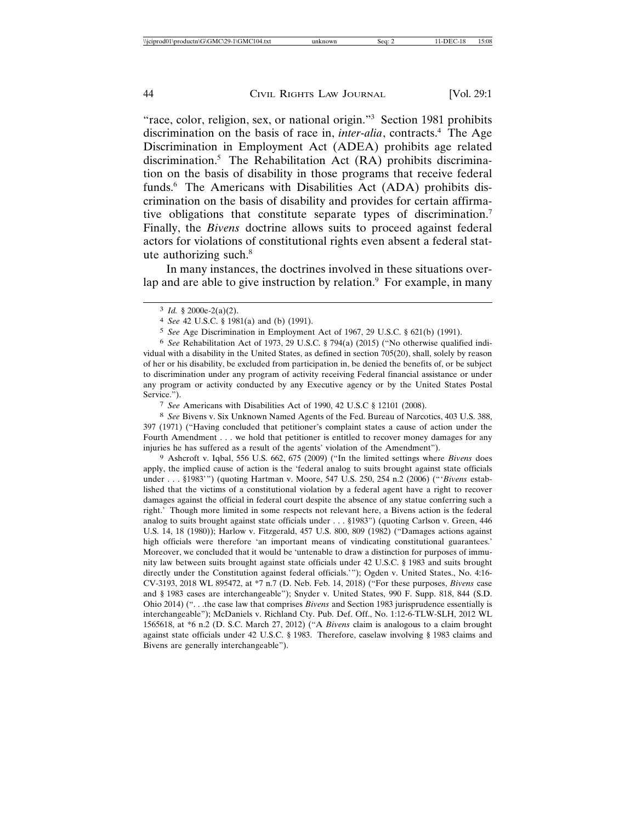"race, color, religion, sex, or national origin."<sup>3</sup> Section 1981 prohibits discrimination on the basis of race in, *inter-alia*, contracts.4 The Age Discrimination in Employment Act (ADEA) prohibits age related discrimination.5 The Rehabilitation Act (RA) prohibits discrimination on the basis of disability in those programs that receive federal funds.<sup>6</sup> The Americans with Disabilities Act (ADA) prohibits discrimination on the basis of disability and provides for certain affirmative obligations that constitute separate types of discrimination.7 Finally, the *Bivens* doctrine allows suits to proceed against federal actors for violations of constitutional rights even absent a federal statute authorizing such.8

In many instances, the doctrines involved in these situations overlap and are able to give instruction by relation. $9$  For example, in many

5 *See* Age Discrimination in Employment Act of 1967, 29 U.S.C. § 621(b) (1991).

6 *See* Rehabilitation Act of 1973, 29 U.S.C. § 794(a) (2015) ("No otherwise qualified individual with a disability in the United States, as defined in section 705(20), shall, solely by reason of her or his disability, be excluded from participation in, be denied the benefits of, or be subject to discrimination under any program of activity receiving Federal financial assistance or under any program or activity conducted by any Executive agency or by the United States Postal Service.").

7 *See* Americans with Disabilities Act of 1990, 42 U.S.C § 12101 (2008).

8 *See* Bivens v. Six Unknown Named Agents of the Fed. Bureau of Narcotics, 403 U.S. 388, 397 (1971) ("Having concluded that petitioner's complaint states a cause of action under the Fourth Amendment . . . we hold that petitioner is entitled to recover money damages for any injuries he has suffered as a result of the agents' violation of the Amendment").

9 Ashcroft v. Iqbal, 556 U.S. 662, 675 (2009) ("In the limited settings where *Bivens* does apply, the implied cause of action is the 'federal analog to suits brought against state officials under . . . §1983'") (quoting Hartman v. Moore, 547 U.S. 250, 254 n.2 (2006) ("'*Bivens* established that the victims of a constitutional violation by a federal agent have a right to recover damages against the official in federal court despite the absence of any statue conferring such a right.' Though more limited in some respects not relevant here, a Bivens action is the federal analog to suits brought against state officials under . . . §1983") (quoting Carlson v. Green, 446 U.S. 14, 18 (1980)); Harlow v. Fitzgerald, 457 U.S. 800, 809 (1982) ("Damages actions against high officials were therefore 'an important means of vindicating constitutional guarantees.' Moreover, we concluded that it would be 'untenable to draw a distinction for purposes of immunity law between suits brought against state officials under 42 U.S.C. § 1983 and suits brought directly under the Constitution against federal officials.'"); Ogden v. United States., No. 4:16- CV-3193, 2018 WL 895472, at \*7 n.7 (D. Neb. Feb. 14, 2018) ("For these purposes, *Bivens* case and § 1983 cases are interchangeable"); Snyder v. United States, 990 F. Supp. 818, 844 (S.D. Ohio 2014) (". . .the case law that comprises *Bivens* and Section 1983 jurisprudence essentially is interchangeable"); McDaniels v. Richland Cty. Pub. Def. Off., No. 1:12-6-TLW-SLH, 2012 WL 1565618, at \*6 n.2 (D. S.C. March 27, 2012) ("A *Bivens* claim is analogous to a claim brought against state officials under 42 U.S.C. § 1983. Therefore, caselaw involving § 1983 claims and Bivens are generally interchangeable").

<sup>3</sup> *Id.* § 2000e-2(a)(2).

<sup>4</sup> *See* 42 U.S.C. § 1981(a) and (b) (1991).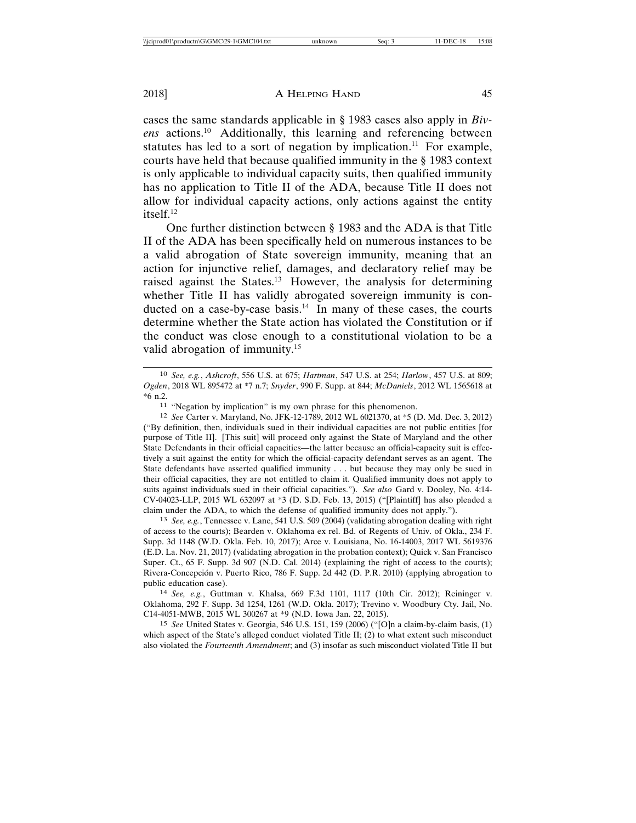cases the same standards applicable in § 1983 cases also apply in *Bivens* actions.10 Additionally, this learning and referencing between statutes has led to a sort of negation by implication.<sup>11</sup> For example, courts have held that because qualified immunity in the § 1983 context is only applicable to individual capacity suits, then qualified immunity has no application to Title II of the ADA, because Title II does not allow for individual capacity actions, only actions against the entity itself.12

One further distinction between § 1983 and the ADA is that Title II of the ADA has been specifically held on numerous instances to be a valid abrogation of State sovereign immunity, meaning that an action for injunctive relief, damages, and declaratory relief may be raised against the States.13 However, the analysis for determining whether Title II has validly abrogated sovereign immunity is conducted on a case-by-case basis.<sup>14</sup> In many of these cases, the courts determine whether the State action has violated the Constitution or if the conduct was close enough to a constitutional violation to be a valid abrogation of immunity.15

13 *See, e.g.*, Tennessee v. Lane, 541 U.S. 509 (2004) (validating abrogation dealing with right of access to the courts); Bearden v. Oklahoma ex rel. Bd. of Regents of Univ. of Okla., 234 F. Supp. 3d 1148 (W.D. Okla. Feb. 10, 2017); Arce v. Louisiana, No. 16-14003, 2017 WL 5619376 (E.D. La. Nov. 21, 2017) (validating abrogation in the probation context); Quick v. San Francisco Super. Ct., 65 F. Supp. 3d 907 (N.D. Cal. 2014) (explaining the right of access to the courts); Rivera-Concepción v. Puerto Rico, 786 F. Supp. 2d 442 (D. P.R. 2010) (applying abrogation to public education case).

14 *See, e.g.*, Guttman v. Khalsa, 669 F.3d 1101, 1117 (10th Cir. 2012); Reininger v. Oklahoma, 292 F. Supp. 3d 1254, 1261 (W.D. Okla. 2017); Trevino v. Woodbury Cty. Jail, No. C14-4051-MWB, 2015 WL 300267 at \*9 (N.D. Iowa Jan. 22, 2015).

15 *See* United States v. Georgia, 546 U.S. 151, 159 (2006) ("[O]n a claim-by-claim basis, (1) which aspect of the State's alleged conduct violated Title II; (2) to what extent such misconduct also violated the *Fourteenth Amendment*; and (3) insofar as such misconduct violated Title II but

<sup>10</sup> *See, e.g.*, *Ashcroft*, 556 U.S. at 675; *Hartman*, 547 U.S. at 254; *Harlow*, 457 U.S. at 809; *Ogden*, 2018 WL 895472 at \*7 n.7; *Snyder*, 990 F. Supp. at 844; *McDaniels*, 2012 WL 1565618 at \*6 n.2.

<sup>11</sup> "Negation by implication" is my own phrase for this phenomenon.

<sup>12</sup> *See* Carter v. Maryland, No. JFK-12-1789, 2012 WL 6021370, at \*5 (D. Md. Dec. 3, 2012) ("By definition, then, individuals sued in their individual capacities are not public entities [for purpose of Title II]. [This suit] will proceed only against the State of Maryland and the other State Defendants in their official capacities—the latter because an official-capacity suit is effectively a suit against the entity for which the official-capacity defendant serves as an agent. The State defendants have asserted qualified immunity . . . but because they may only be sued in their official capacities, they are not entitled to claim it. Qualified immunity does not apply to suits against individuals sued in their official capacities."). *See also* Gard v. Dooley, No. 4:14- CV-04023-LLP, 2015 WL 632097 at \*3 (D. S.D. Feb. 13, 2015) ("[Plaintiff] has also pleaded a claim under the ADA, to which the defense of qualified immunity does not apply.").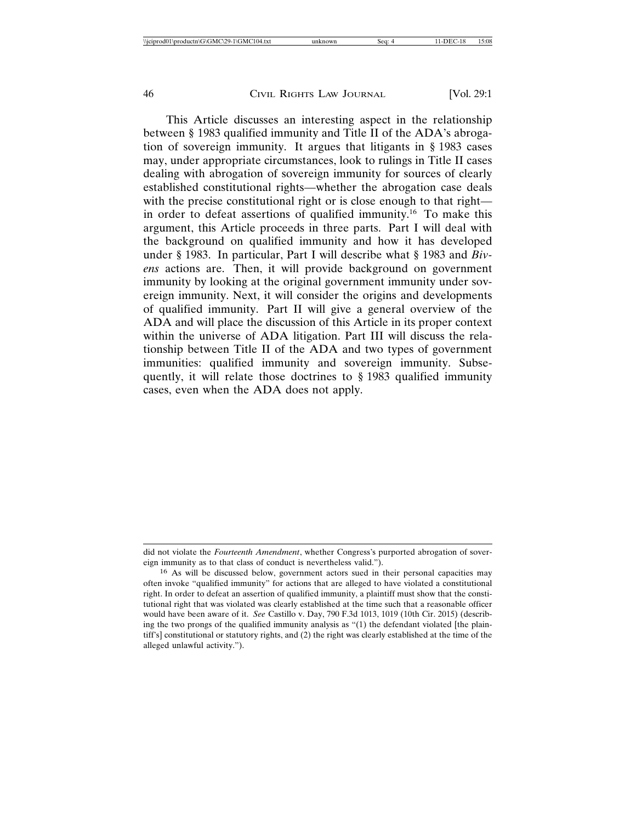This Article discusses an interesting aspect in the relationship between § 1983 qualified immunity and Title II of the ADA's abrogation of sovereign immunity. It argues that litigants in § 1983 cases may, under appropriate circumstances, look to rulings in Title II cases dealing with abrogation of sovereign immunity for sources of clearly established constitutional rights—whether the abrogation case deals with the precise constitutional right or is close enough to that right in order to defeat assertions of qualified immunity.16 To make this argument, this Article proceeds in three parts. Part I will deal with the background on qualified immunity and how it has developed under § 1983. In particular, Part I will describe what § 1983 and *Bivens* actions are. Then, it will provide background on government immunity by looking at the original government immunity under sovereign immunity. Next, it will consider the origins and developments of qualified immunity. Part II will give a general overview of the ADA and will place the discussion of this Article in its proper context within the universe of ADA litigation. Part III will discuss the relationship between Title II of the ADA and two types of government immunities: qualified immunity and sovereign immunity. Subsequently, it will relate those doctrines to § 1983 qualified immunity cases, even when the ADA does not apply.

did not violate the *Fourteenth Amendment*, whether Congress's purported abrogation of sovereign immunity as to that class of conduct is nevertheless valid.").

<sup>16</sup> As will be discussed below, government actors sued in their personal capacities may often invoke "qualified immunity" for actions that are alleged to have violated a constitutional right. In order to defeat an assertion of qualified immunity, a plaintiff must show that the constitutional right that was violated was clearly established at the time such that a reasonable officer would have been aware of it. *See* Castillo v. Day, 790 F.3d 1013, 1019 (10th Cir. 2015) (describing the two prongs of the qualified immunity analysis as "(1) the defendant violated [the plaintiff's] constitutional or statutory rights, and (2) the right was clearly established at the time of the alleged unlawful activity.").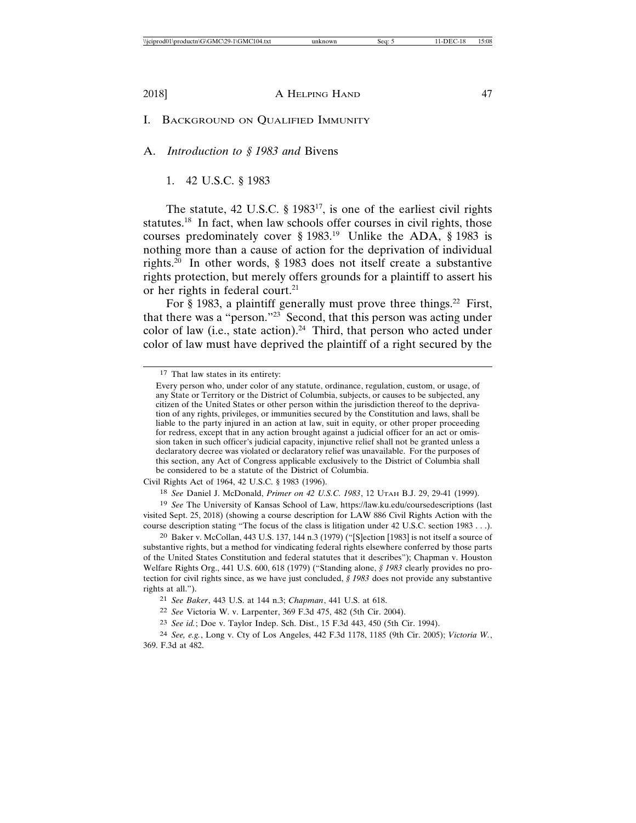## I. BACKGROUND ON QUALIFIED IMMUNITY

### A. *Introduction to § 1983 and* Bivens

1. 42 U.S.C. § 1983

The statute, 42 U.S.C.  $\S$  1983<sup>17</sup>, is one of the earliest civil rights statutes.<sup>18</sup> In fact, when law schools offer courses in civil rights, those courses predominately cover § 1983.19 Unlike the ADA, § 1983 is nothing more than a cause of action for the deprivation of individual rights.20 In other words, § 1983 does not itself create a substantive rights protection, but merely offers grounds for a plaintiff to assert his or her rights in federal court.<sup>21</sup>

For § 1983, a plaintiff generally must prove three things.<sup>22</sup> First, that there was a "person."23 Second, that this person was acting under color of law (i.e., state action).<sup>24</sup> Third, that person who acted under color of law must have deprived the plaintiff of a right secured by the

Civil Rights Act of 1964, 42 U.S.C. § 1983 (1996).

18 *See* Daniel J. McDonald, *Primer on 42 U.S.C. 1983*, 12 UTAH B.J. 29, 29-41 (1999).

19 *See* The University of Kansas School of Law, https://law.ku.edu/coursedescriptions (last visited Sept. 25, 2018) (showing a course description for LAW 886 Civil Rights Action with the course description stating "The focus of the class is litigation under 42 U.S.C. section 1983 . . .).

20 Baker v. McCollan, 443 U.S. 137, 144 n.3 (1979) ("[S]ection [1983] is not itself a source of substantive rights, but a method for vindicating federal rights elsewhere conferred by those parts of the United States Constitution and federal statutes that it describes"); Chapman v. Houston Welfare Rights Org., 441 U.S. 600, 618 (1979) ("Standing alone, *§ 1983* clearly provides no protection for civil rights since, as we have just concluded, *§ 1983* does not provide any substantive rights at all.").

<sup>17</sup> That law states in its entirety:

Every person who, under color of any statute, ordinance, regulation, custom, or usage, of any State or Territory or the District of Columbia, subjects, or causes to be subjected, any citizen of the United States or other person within the jurisdiction thereof to the deprivation of any rights, privileges, or immunities secured by the Constitution and laws, shall be liable to the party injured in an action at law, suit in equity, or other proper proceeding for redress, except that in any action brought against a judicial officer for an act or omission taken in such officer's judicial capacity, injunctive relief shall not be granted unless a declaratory decree was violated or declaratory relief was unavailable. For the purposes of this section, any Act of Congress applicable exclusively to the District of Columbia shall be considered to be a statute of the District of Columbia.

<sup>21</sup> *See Baker*, 443 U.S. at 144 n.3; *Chapman*, 441 U.S. at 618.

<sup>22</sup> *See* Victoria W. v. Larpenter, 369 F.3d 475, 482 (5th Cir. 2004).

<sup>23</sup> *See id.*; Doe v. Taylor Indep. Sch. Dist., 15 F.3d 443, 450 (5th Cir. 1994).

<sup>24</sup> *See, e.g.*, Long v. Cty of Los Angeles, 442 F.3d 1178, 1185 (9th Cir. 2005); *Victoria W.*, 369. F.3d at 482.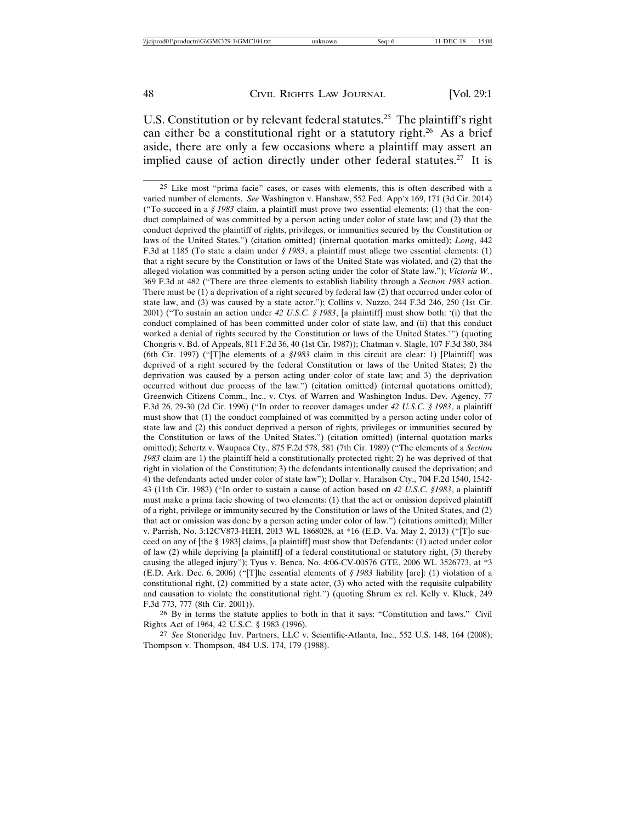U.S. Constitution or by relevant federal statutes.<sup>25</sup> The plaintiff's right can either be a constitutional right or a statutory right.<sup>26</sup> As a brief aside, there are only a few occasions where a plaintiff may assert an implied cause of action directly under other federal statutes.<sup>27</sup> It is

25 Like most "prima facie" cases, or cases with elements, this is often described with a varied number of elements. *See* Washington v. Hanshaw, 552 Fed. App'x 169, 171 (3d Cir. 2014) ("To succeed in a *§ 1983* claim, a plaintiff must prove two essential elements: (1) that the conduct complained of was committed by a person acting under color of state law; and (2) that the conduct deprived the plaintiff of rights, privileges, or immunities secured by the Constitution or laws of the United States.") (citation omitted) (internal quotation marks omitted); *Long*, 442 F.3d at 1185 (To state a claim under *§ 1983*, a plaintiff must allege two essential elements: (1) that a right secure by the Constitution or laws of the United State was violated, and (2) that the alleged violation was committed by a person acting under the color of State law."); *Victoria W.*, 369 F.3d at 482 ("There are three elements to establish liability through a *Section 1983* action. There must be (1) a deprivation of a right secured by federal law (2) that occurred under color of state law, and (3) was caused by a state actor."); Collins v. Nuzzo, 244 F.3d 246, 250 (1st Cir. 2001) ("To sustain an action under *42 U.S.C. § 1983*, [a plaintiff] must show both: '(i) that the conduct complained of has been committed under color of state law, and (ii) that this conduct worked a denial of rights secured by the Constitution or laws of the United States.'") (quoting Chongris v. Bd. of Appeals, 811 F.2d 36, 40 (1st Cir. 1987)); Chatman v. Slagle, 107 F.3d 380, 384 (6th Cir. 1997) ("[T]he elements of a *§1983* claim in this circuit are clear: 1) [Plaintiff] was deprived of a right secured by the federal Constitution or laws of the United States; 2) the deprivation was caused by a person acting under color of state law; and 3) the deprivation occurred without due process of the law.") (citation omitted) (internal quotations omitted); Greenwich Citizens Comm., Inc., v. Ctys. of Warren and Washington Indus. Dev. Agency, 77 F.3d 26, 29-30 (2d Cir. 1996) ("In order to recover damages under *42 U.S.C. § 1983*, a plaintiff must show that (1) the conduct complained of was committed by a person acting under color of state law and (2) this conduct deprived a person of rights, privileges or immunities secured by the Constitution or laws of the United States.") (citation omitted) (internal quotation marks omitted); Schertz v. Waupaca Cty., 875 F.2d 578, 581 (7th Cir. 1989) ("The elements of a *Section 1983* claim are 1) the plaintiff held a constitutionally protected right; 2) he was deprived of that right in violation of the Constitution; 3) the defendants intentionally caused the deprivation; and 4) the defendants acted under color of state law"); Dollar v. Haralson Cty., 704 F.2d 1540, 1542- 43 (11th Cir. 1983) ("In order to sustain a cause of action based on *42 U.S.C. §1983*, a plaintiff must make a prima facie showing of two elements: (1) that the act or omission deprived plaintiff of a right, privilege or immunity secured by the Constitution or laws of the United States, and (2) that act or omission was done by a person acting under color of law.") (citations omitted); Miller v. Parrish, No. 3:12CV873-HEH, 2013 WL 1868028, at \*16 (E.D. Va. May 2, 2013) ("[T]o succeed on any of [the § 1983] claims, [a plaintiff] must show that Defendants: (1) acted under color of law (2) while depriving [a plaintiff] of a federal constitutional or statutory right, (3) thereby causing the alleged injury"); Tyus v. Benca, No. 4:06-CV-00576 GTE, 2006 WL 3526773, at \*3 (E.D. Ark. Dec. 6, 2006) ("[T]he essential elements of *§ 1983* liability [are]: (1) violation of a constitutional right,  $(2)$  committed by a state actor,  $(3)$  who acted with the requisite culpability and causation to violate the constitutional right.") (quoting Shrum ex rel. Kelly v. Kluck, 249 F.3d 773, 777 (8th Cir. 2001)).

26 By in terms the statute applies to both in that it says: "Constitution and laws." Civil Rights Act of 1964, 42 U.S.C. § 1983 (1996).

27 *See* Stoneridge Inv. Partners, LLC v. Scientific-Atlanta, Inc., 552 U.S. 148, 164 (2008); Thompson v. Thompson, 484 U.S. 174, 179 (1988).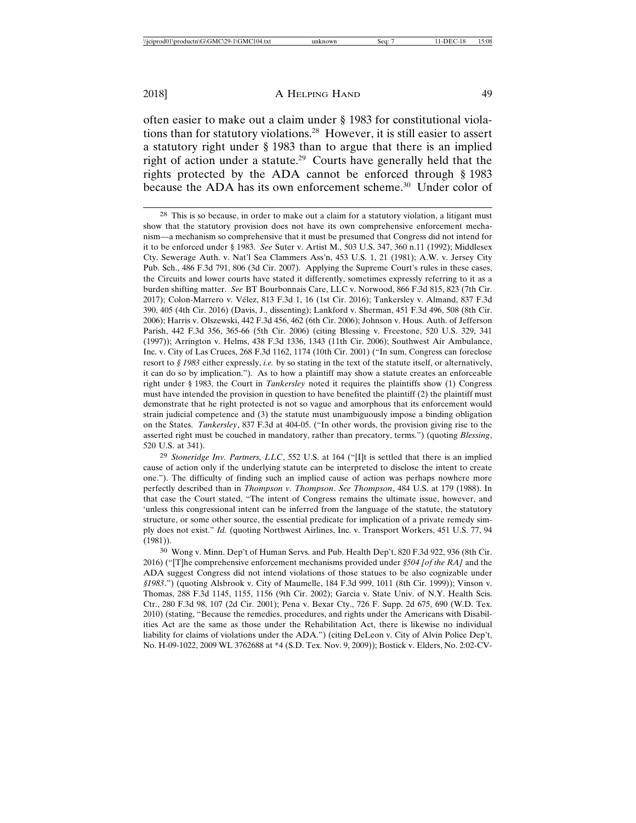often easier to make out a claim under § 1983 for constitutional violations than for statutory violations.28 However, it is still easier to assert a statutory right under § 1983 than to argue that there is an implied right of action under a statute.<sup>29</sup> Courts have generally held that the rights protected by the ADA cannot be enforced through § 1983 because the ADA has its own enforcement scheme.<sup>30</sup> Under color of

29 *Stoneridge Inv. Partners, LLC*, 552 U.S. at 164 ("[I]t is settled that there is an implied cause of action only if the underlying statute can be interpreted to disclose the intent to create one."). The difficulty of finding such an implied cause of action was perhaps nowhere more perfectly described than in *Thompson v. Thompson*. *See Thompson*, 484 U.S. at 179 (1988). In that case the Court stated, "The intent of Congress remains the ultimate issue, however, and 'unless this congressional intent can be inferred from the language of the statute, the statutory structure, or some other source, the essential predicate for implication of a private remedy simply does not exist." *Id.* (quoting Northwest Airlines, Inc. v. Transport Workers, 451 U.S. 77, 94 (1981)).

30 Wong v. Minn. Dep't of Human Servs. and Pub. Health Dep't, 820 F.3d 922, 936 (8th Cir. 2016) ("[T]he comprehensive enforcement mechanisms provided under *§504 [of the RA]* and the ADA suggest Congress did not intend violations of those statues to be also cognizable under *§1983*.") (quoting Alsbrook v. City of Maumelle, 184 F.3d 999, 1011 (8th Cir. 1999)); Vinson v. Thomas, 288 F.3d 1145, 1155, 1156 (9th Cir. 2002); Garcia v. State Univ. of N.Y. Health Scis. Ctr., 280 F.3d 98, 107 (2d Cir. 2001); Pena v. Bexar Cty., 726 F. Supp. 2d 675, 690 (W.D. Tex. 2010) (stating, "Because the remedies, procedures, and rights under the Americans with Disabilities Act are the same as those under the Rehabilitation Act, there is likewise no individual liability for claims of violations under the ADA.") (citing DeLeon v. City of Alvin Police Dep't, No. H-09-1022, 2009 WL 3762688 at \*4 (S.D. Tex. Nov. 9, 2009)); Bostick v. Elders, No. 2:02-CV-

 $28$  This is so because, in order to make out a claim for a statutory violation, a litigant must show that the statutory provision does not have its own comprehensive enforcement mechanism—a mechanism so comprehensive that it must be presumed that Congress did not intend for it to be enforced under § 1983. *See* Suter v. Artist M., 503 U.S. 347, 360 n.11 (1992); Middlesex Cty. Sewerage Auth. v. Nat'l Sea Clammers Ass'n, 453 U.S. 1, 21 (1981); A.W. v. Jersey City Pub. Sch., 486 F.3d 791, 806 (3d Cir. 2007). Applying the Supreme Court's rules in these cases, the Circuits and lower courts have stated it differently, sometimes expressly referring to it as a burden shifting matter. *See* BT Bourbonnais Care, LLC v. Norwood, 866 F.3d 815, 823 (7th Cir. 2017); Colon-Marrero v. Vélez, 813 F.3d 1, 16 (1st Cir. 2016); Tankersley v. Almand, 837 F.3d 390, 405 (4th Cir. 2016) (Davis, J., dissenting); Lankford v. Sherman, 451 F.3d 496, 508 (8th Cir. 2006); Harris v. Olszewski, 442 F.3d 456, 462 (6th Cir. 2006); Johnson v. Hous. Auth. of Jefferson Parish, 442 F.3d 356, 365-66 (5th Cir. 2006) (citing Blessing v. Freestone, 520 U.S. 329, 341 (1997)); Arrington v. Helms, 438 F.3d 1336, 1343 (11th Cir. 2006); Southwest Air Ambulance, Inc. v. City of Las Cruces, 268 F.3d 1162, 1174 (10th Cir. 2001) ("In sum, Congress can foreclose resort to *§ 1983* either expressly, *i.e.* by so stating in the text of the statute itself, or alternatively, it can do so by implication."). As to how a plaintiff may show a statute creates an enforceable right under § 1983, the Court in *Tankersley* noted it requires the plaintiffs show (1) Congress must have intended the provision in question to have benefited the plaintiff (2) the plaintiff must demonstrate that he right protected is not so vague and amorphous that its enforcement would strain judicial competence and (3) the statute must unambiguously impose a binding obligation on the States. *Tankersley*, 837 F.3d at 404-05. ("In other words, the provision giving rise to the asserted right must be couched in mandatory, rather than precatory, terms.") (quoting *Blessing*, 520 U.S. at 341).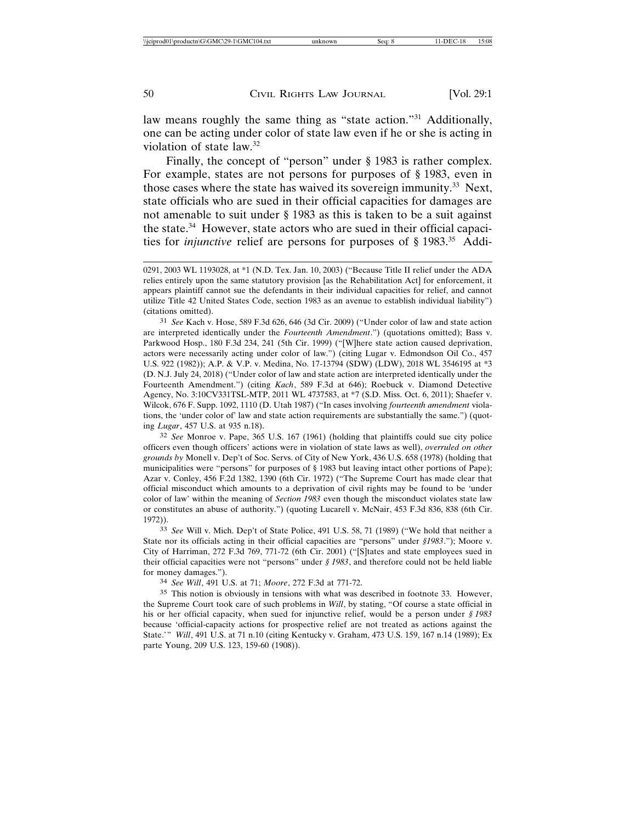law means roughly the same thing as "state action."31 Additionally, one can be acting under color of state law even if he or she is acting in violation of state law.32

Finally, the concept of "person" under § 1983 is rather complex. For example, states are not persons for purposes of § 1983, even in those cases where the state has waived its sovereign immunity.<sup>33</sup> Next, state officials who are sued in their official capacities for damages are not amenable to suit under § 1983 as this is taken to be a suit against the state.34 However, state actors who are sued in their official capacities for *injunctive* relief are persons for purposes of § 1983.35 Addi-

31 *See* Kach v. Hose, 589 F.3d 626, 646 (3d Cir. 2009) ("Under color of law and state action are interpreted identically under the *Fourteenth Amendment*.") (quotations omitted); Bass v. Parkwood Hosp., 180 F.3d 234, 241 (5th Cir. 1999) ("[W]here state action caused deprivation, actors were necessarily acting under color of law.") (citing Lugar v. Edmondson Oil Co., 457 U.S. 922 (1982)); A.P. & V.P. v. Medina, No. 17-13794 (SDW) (LDW), 2018 WL 3546195 at \*3 (D. N.J. July 24, 2018) ("Under color of law and state action are interpreted identically under the Fourteenth Amendment.") (citing *Kach*, 589 F.3d at 646); Roebuck v. Diamond Detective Agency, No. 3:10CV331TSL-MTP, 2011 WL 4737583, at \*7 (S.D. Miss. Oct. 6, 2011); Shaefer v. Wilcok, 676 F. Supp. 1092, 1110 (D. Utah 1987) ("In cases involving *fourteenth amendment* violations, the 'under color of' law and state action requirements are substantially the same.") (quoting *Lugar*, 457 U.S. at 935 n.18).

32 *See* Monroe v. Pape, 365 U.S. 167 (1961) (holding that plaintiffs could sue city police officers even though officers' actions were in violation of state laws as well), *overruled on other grounds by* Monell v. Dep't of Soc. Servs. of City of New York, 436 U.S. 658 (1978) (holding that municipalities were "persons" for purposes of § 1983 but leaving intact other portions of Pape); Azar v. Conley, 456 F.2d 1382, 1390 (6th Cir. 1972) ("The Supreme Court has made clear that official misconduct which amounts to a deprivation of civil rights may be found to be 'under color of law' within the meaning of *Section 1983* even though the misconduct violates state law or constitutes an abuse of authority.") (quoting Lucarell v. McNair, 453 F.3d 836, 838 (6th Cir. 1972)).

33 *See* Will v. Mich. Dep't of State Police, 491 U.S. 58, 71 (1989) ("We hold that neither a State nor its officials acting in their official capacities are "persons" under *§1983*."); Moore v. City of Harriman, 272 F.3d 769, 771-72 (6th Cir. 2001) ("[S]tates and state employees sued in their official capacities were not "persons" under *§ 1983*, and therefore could not be held liable for money damages.").

34 *See Will*, 491 U.S. at 71; *Moore*, 272 F.3d at 771-72.

35 This notion is obviously in tensions with what was described in footnote 33. However, the Supreme Court took care of such problems in *Will*, by stating, "Of course a state official in his or her official capacity, when sued for injunctive relief, would be a person under *§ 1983* because 'official-capacity actions for prospective relief are not treated as actions against the State.'" *Will*, 491 U.S. at 71 n.10 (citing Kentucky v. Graham, 473 U.S. 159, 167 n.14 (1989); Ex parte Young, 209 U.S. 123, 159-60 (1908)).

<sup>0291, 2003</sup> WL 1193028, at \*1 (N.D. Tex. Jan. 10, 2003) ("Because Title II relief under the ADA relies entirely upon the same statutory provision [as the Rehabilitation Act] for enforcement, it appears plaintiff cannot sue the defendants in their individual capacities for relief, and cannot utilize Title 42 United States Code, section 1983 as an avenue to establish individual liability") (citations omitted).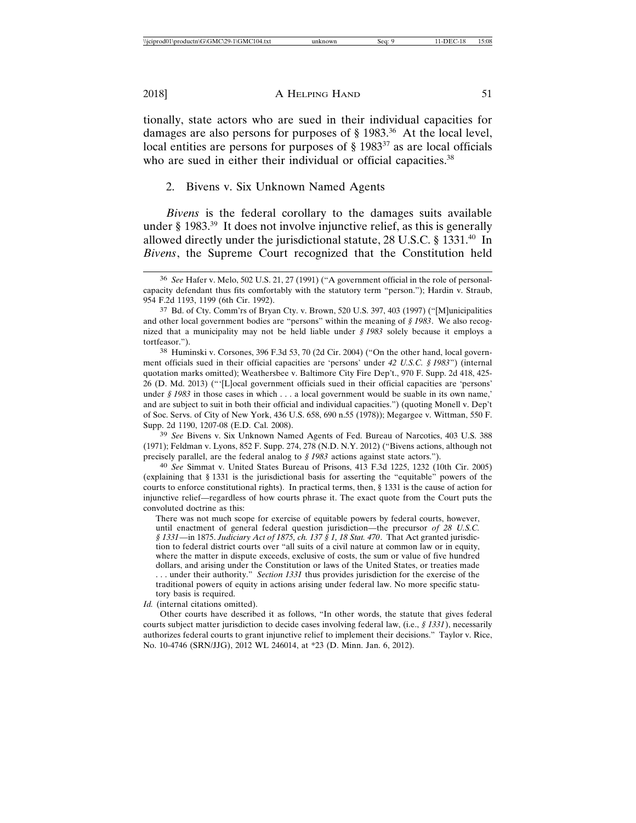tionally, state actors who are sued in their individual capacities for damages are also persons for purposes of  $\S 1983$ .<sup>36</sup> At the local level, local entities are persons for purposes of  $\S$  1983<sup>37</sup> as are local officials who are sued in either their individual or official capacities.<sup>38</sup>

### 2. Bivens v. Six Unknown Named Agents

*Bivens* is the federal corollary to the damages suits available under  $§$  1983.<sup>39</sup> It does not involve injunctive relief, as this is generally allowed directly under the jurisdictional statute, 28 U.S.C. § 1331.40 In *Bivens*, the Supreme Court recognized that the Constitution held

38 Huminski v. Corsones, 396 F.3d 53, 70 (2d Cir. 2004) ("On the other hand, local government officials sued in their official capacities are 'persons' under *42 U.S.C. § 1983*") (internal quotation marks omitted); Weathersbee v. Baltimore City Fire Dep't., 970 F. Supp. 2d 418, 425- 26 (D. Md. 2013) ("'[L]ocal government officials sued in their official capacities are 'persons' under *§ 1983* in those cases in which . . . a local government would be suable in its own name,' and are subject to suit in both their official and individual capacities.") (quoting Monell v. Dep't of Soc. Servs. of City of New York, 436 U.S. 658, 690 n.55 (1978)); Megargee v. Wittman, 550 F. Supp. 2d 1190, 1207-08 (E.D. Cal. 2008).

39 *See* Bivens v. Six Unknown Named Agents of Fed. Bureau of Narcotics, 403 U.S. 388 (1971); Feldman v. Lyons, 852 F. Supp. 274, 278 (N.D. N.Y. 2012) ("Bivens actions, although not precisely parallel, are the federal analog to *§ 1983* actions against state actors.").

40 *See* Simmat v. United States Bureau of Prisons, 413 F.3d 1225, 1232 (10th Cir. 2005) (explaining that § 1331 is the jurisdictional basis for asserting the "equitable" powers of the courts to enforce constitutional rights). In practical terms, then, § 1331 is the cause of action for injunctive relief—regardless of how courts phrase it. The exact quote from the Court puts the convoluted doctrine as this:

There was not much scope for exercise of equitable powers by federal courts, however, until enactment of general federal question jurisdiction—the precursor *of 28 U.S.C. § 1331*—in 1875. *Judiciary Act of 1875, ch. 137 § 1, 18 Stat. 470*. That Act granted jurisdiction to federal district courts over "all suits of a civil nature at common law or in equity, where the matter in dispute exceeds, exclusive of costs, the sum or value of five hundred dollars, and arising under the Constitution or laws of the United States, or treaties made . . . under their authority." *Section 1331* thus provides jurisdiction for the exercise of the traditional powers of equity in actions arising under federal law. No more specific statutory basis is required.

*Id.* (internal citations omitted).

Other courts have described it as follows, "In other words, the statute that gives federal courts subject matter jurisdiction to decide cases involving federal law, (i.e., *§ 1331*), necessarily authorizes federal courts to grant injunctive relief to implement their decisions." Taylor v. Rice, No. 10-4746 (SRN/JJG), 2012 WL 246014, at \*23 (D. Minn. Jan. 6, 2012).

<sup>36</sup> *See* Hafer v. Melo, 502 U.S. 21, 27 (1991) ("A government official in the role of personalcapacity defendant thus fits comfortably with the statutory term "person."); Hardin v. Straub, 954 F.2d 1193, 1199 (6th Cir. 1992).

<sup>37</sup> Bd. of Cty. Comm'rs of Bryan Cty. v. Brown, 520 U.S. 397, 403 (1997) ("[M]unicipalities and other local government bodies are "persons" within the meaning of *§ 1983*. We also recognized that a municipality may not be held liable under *§ 1983* solely because it employs a tortfeasor.").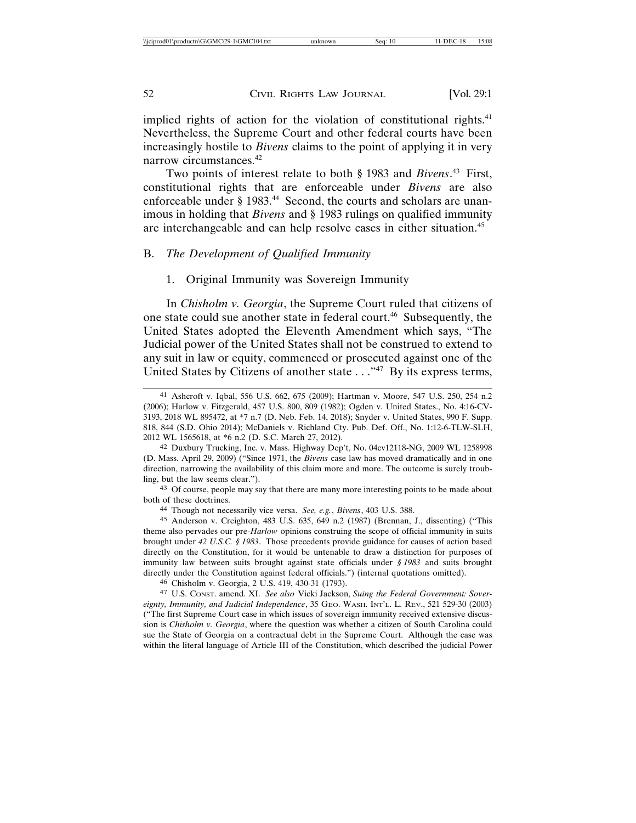implied rights of action for the violation of constitutional rights.<sup>41</sup> Nevertheless, the Supreme Court and other federal courts have been increasingly hostile to *Bivens* claims to the point of applying it in very narrow circumstances.42

Two points of interest relate to both § 1983 and *Bivens*. 43 First, constitutional rights that are enforceable under *Bivens* are also enforceable under § 1983.<sup>44</sup> Second, the courts and scholars are unanimous in holding that *Bivens* and § 1983 rulings on qualified immunity are interchangeable and can help resolve cases in either situation.45

## B. *The Development of Qualified Immunity*

### 1. Original Immunity was Sovereign Immunity

In *Chisholm v. Georgia*, the Supreme Court ruled that citizens of one state could sue another state in federal court.46 Subsequently, the United States adopted the Eleventh Amendment which says, "The Judicial power of the United States shall not be construed to extend to any suit in law or equity, commenced or prosecuted against one of the United States by Citizens of another state . . . "<sup>47</sup> By its express terms,

43 Of course, people may say that there are many more interesting points to be made about both of these doctrines.

44 Though not necessarily vice versa. *See, e.g.*, *Bivens*, 403 U.S. 388.

45 Anderson v. Creighton, 483 U.S. 635, 649 n.2 (1987) (Brennan, J., dissenting) ("This theme also pervades our pre-*Harlow* opinions construing the scope of official immunity in suits brought under *42 U.S.C. § 1983*. Those precedents provide guidance for causes of action based directly on the Constitution, for it would be untenable to draw a distinction for purposes of immunity law between suits brought against state officials under *§ 1983* and suits brought directly under the Constitution against federal officials.") (internal quotations omitted).

46 Chisholm v. Georgia, 2 U.S. 419, 430-31 (1793).

47 U.S. CONST. amend. XI. *See also* Vicki Jackson, *Suing the Federal Government: Sovereignty, Immunity, and Judicial Independence*, 35 GEO. WASH. INT'L. L. REV., 521 529-30 (2003) ("The first Supreme Court case in which issues of sovereign immunity received extensive discussion is *Chisholm v. Georgia*, where the question was whether a citizen of South Carolina could sue the State of Georgia on a contractual debt in the Supreme Court. Although the case was within the literal language of Article III of the Constitution, which described the judicial Power

<sup>41</sup> Ashcroft v. Iqbal, 556 U.S. 662, 675 (2009); Hartman v. Moore, 547 U.S. 250, 254 n.2 (2006); Harlow v. Fitzgerald, 457 U.S. 800, 809 (1982); Ogden v. United States., No. 4:16-CV-3193, 2018 WL 895472, at \*7 n.7 (D. Neb. Feb. 14, 2018); Snyder v. United States, 990 F. Supp. 818, 844 (S.D. Ohio 2014); McDaniels v. Richland Cty. Pub. Def. Off., No. 1:12-6-TLW-SLH, 2012 WL 1565618, at \*6 n.2 (D. S.C. March 27, 2012).

<sup>42</sup> Duxbury Trucking, Inc. v. Mass. Highway Dep't, No. 04cv12118-NG, 2009 WL 1258998 (D. Mass. April 29, 2009) ("Since 1971, the *Bivens* case law has moved dramatically and in one direction, narrowing the availability of this claim more and more. The outcome is surely troubling, but the law seems clear.").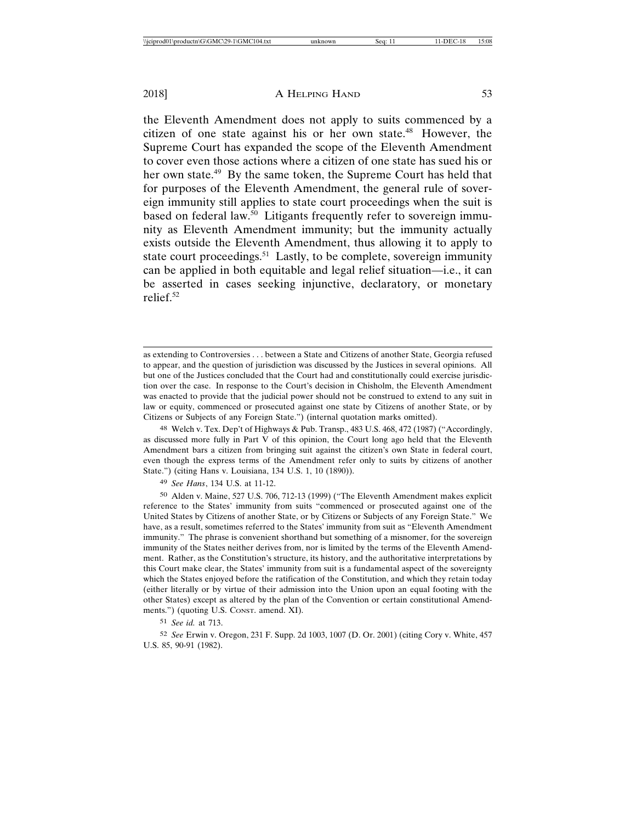the Eleventh Amendment does not apply to suits commenced by a citizen of one state against his or her own state.48 However, the Supreme Court has expanded the scope of the Eleventh Amendment to cover even those actions where a citizen of one state has sued his or her own state.<sup>49</sup> By the same token, the Supreme Court has held that for purposes of the Eleventh Amendment, the general rule of sovereign immunity still applies to state court proceedings when the suit is based on federal law.<sup>50</sup> Litigants frequently refer to sovereign immunity as Eleventh Amendment immunity; but the immunity actually exists outside the Eleventh Amendment, thus allowing it to apply to state court proceedings.<sup>51</sup> Lastly, to be complete, sovereign immunity can be applied in both equitable and legal relief situation—i.e., it can be asserted in cases seeking injunctive, declaratory, or monetary relief.52

48 Welch v. Tex. Dep't of Highways & Pub. Transp., 483 U.S. 468, 472 (1987) ("Accordingly, as discussed more fully in Part V of this opinion, the Court long ago held that the Eleventh Amendment bars a citizen from bringing suit against the citizen's own State in federal court, even though the express terms of the Amendment refer only to suits by citizens of another State.") (citing Hans v. Louisiana, 134 U.S. 1, 10 (1890)).

49 *See Hans*, 134 U.S. at 11-12.

50 Alden v. Maine, 527 U.S. 706, 712-13 (1999) ("The Eleventh Amendment makes explicit reference to the States' immunity from suits "commenced or prosecuted against one of the United States by Citizens of another State, or by Citizens or Subjects of any Foreign State." We have, as a result, sometimes referred to the States' immunity from suit as "Eleventh Amendment immunity." The phrase is convenient shorthand but something of a misnomer, for the sovereign immunity of the States neither derives from, nor is limited by the terms of the Eleventh Amendment. Rather, as the Constitution's structure, its history, and the authoritative interpretations by this Court make clear, the States' immunity from suit is a fundamental aspect of the sovereignty which the States enjoyed before the ratification of the Constitution, and which they retain today (either literally or by virtue of their admission into the Union upon an equal footing with the other States) except as altered by the plan of the Convention or certain constitutional Amendments.") (quoting U.S. CONST. amend. XI).

51 *See id.* at 713.

52 *See* Erwin v. Oregon, 231 F. Supp. 2d 1003, 1007 (D. Or. 2001) (citing Cory v. White, 457 U.S. 85, 90-91 (1982).

as extending to Controversies . . . between a State and Citizens of another State, Georgia refused to appear, and the question of jurisdiction was discussed by the Justices in several opinions. All but one of the Justices concluded that the Court had and constitutionally could exercise jurisdiction over the case. In response to the Court's decision in Chisholm, the Eleventh Amendment was enacted to provide that the judicial power should not be construed to extend to any suit in law or equity, commenced or prosecuted against one state by Citizens of another State, or by Citizens or Subjects of any Foreign State.") (internal quotation marks omitted).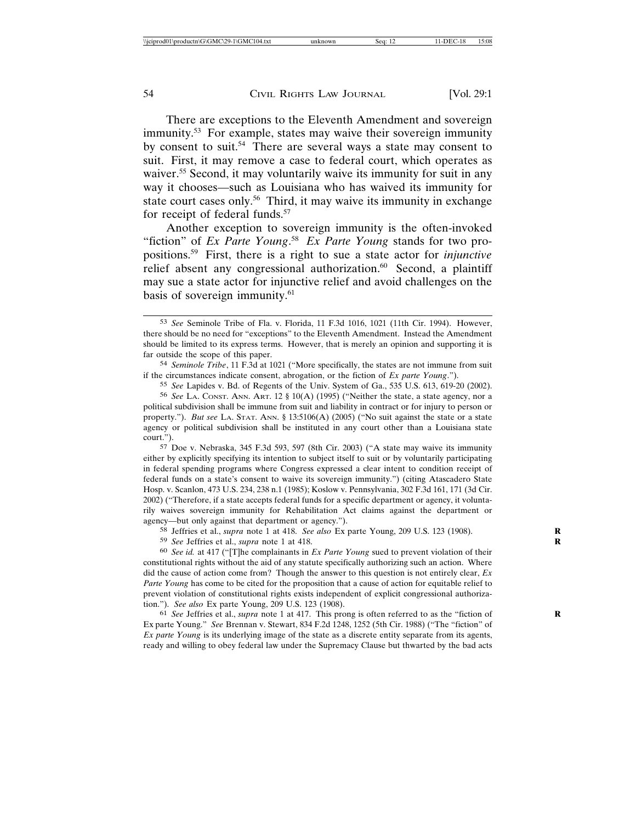There are exceptions to the Eleventh Amendment and sovereign immunity.53 For example, states may waive their sovereign immunity by consent to suit.<sup>54</sup> There are several ways a state may consent to suit. First, it may remove a case to federal court, which operates as waiver.<sup>55</sup> Second, it may voluntarily waive its immunity for suit in any way it chooses—such as Louisiana who has waived its immunity for state court cases only.<sup>56</sup> Third, it may waive its immunity in exchange for receipt of federal funds.<sup>57</sup>

Another exception to sovereign immunity is the often-invoked "fiction" of *Ex Parte Young*. <sup>58</sup> *Ex Parte Young* stands for two propositions.59 First, there is a right to sue a state actor for *injunctive* relief absent any congressional authorization.<sup>60</sup> Second, a plaintiff may sue a state actor for injunctive relief and avoid challenges on the basis of sovereign immunity.<sup>61</sup>

57 Doe v. Nebraska, 345 F.3d 593, 597 (8th Cir. 2003) ("A state may waive its immunity either by explicitly specifying its intention to subject itself to suit or by voluntarily participating in federal spending programs where Congress expressed a clear intent to condition receipt of federal funds on a state's consent to waive its sovereign immunity.") (citing Atascadero State Hosp. v. Scanlon, 473 U.S. 234, 238 n.1 (1985); Koslow v. Pennsylvania, 302 F.3d 161, 171 (3d Cir. 2002) ("Therefore, if a state accepts federal funds for a specific department or agency, it voluntarily waives sovereign immunity for Rehabilitation Act claims against the department or agency—but only against that department or agency.").

58 Jeffries et al., *supra* note 1 at 418. *See also* Ex parte Young, 209 U.S. 123 (1908). **R**

59 *See* Jeffries et al., *supra* note 1 at 418. **R**

60 *See id.* at 417 ("[T]he complainants in *Ex Parte Young* sued to prevent violation of their constitutional rights without the aid of any statute specifically authorizing such an action. Where did the cause of action come from? Though the answer to this question is not entirely clear, *Ex Parte Young* has come to be cited for the proposition that a cause of action for equitable relief to prevent violation of constitutional rights exists independent of explicit congressional authorization."). *See also* Ex parte Young, 209 U.S. 123 (1908).

61 *See* Jeffries et al., *supra* note 1 at 417. This prong is often referred to as the "fiction of **R** Ex parte Young." *See* Brennan v. Stewart, 834 F.2d 1248, 1252 (5th Cir. 1988) ("The "fiction" of *Ex parte Young* is its underlying image of the state as a discrete entity separate from its agents, ready and willing to obey federal law under the Supremacy Clause but thwarted by the bad acts

<sup>53</sup> *See* Seminole Tribe of Fla. v. Florida, 11 F.3d 1016, 1021 (11th Cir. 1994). However, there should be no need for "exceptions" to the Eleventh Amendment. Instead the Amendment should be limited to its express terms. However, that is merely an opinion and supporting it is far outside the scope of this paper.

<sup>54</sup> *Seminole Tribe*, 11 F.3d at 1021 ("More specifically, the states are not immune from suit if the circumstances indicate consent, abrogation, or the fiction of *Ex parte Young*.").

<sup>55</sup> *See* Lapides v. Bd. of Regents of the Univ. System of Ga., 535 U.S. 613, 619-20 (2002).

<sup>56</sup> *See* LA. CONST. ANN. ART. 12 § 10(A) (1995) ("Neither the state, a state agency, nor a political subdivision shall be immune from suit and liability in contract or for injury to person or property."). *But see* LA. STAT. ANN. § 13:5106(A) (2005) ("No suit against the state or a state agency or political subdivision shall be instituted in any court other than a Louisiana state court.").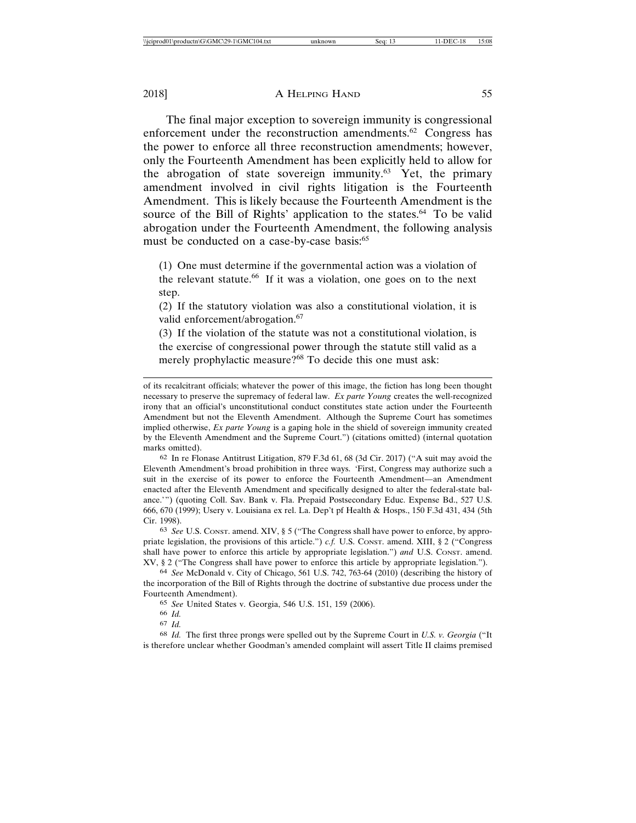The final major exception to sovereign immunity is congressional enforcement under the reconstruction amendments.<sup>62</sup> Congress has the power to enforce all three reconstruction amendments; however, only the Fourteenth Amendment has been explicitly held to allow for the abrogation of state sovereign immunity. $63$  Yet, the primary amendment involved in civil rights litigation is the Fourteenth Amendment. This is likely because the Fourteenth Amendment is the source of the Bill of Rights' application to the states.<sup>64</sup> To be valid abrogation under the Fourteenth Amendment, the following analysis must be conducted on a case-by-case basis:<sup>65</sup>

(1) One must determine if the governmental action was a violation of the relevant statute.<sup>66</sup> If it was a violation, one goes on to the next step.

(2) If the statutory violation was also a constitutional violation, it is valid enforcement/abrogation.<sup>67</sup>

(3) If the violation of the statute was not a constitutional violation, is the exercise of congressional power through the statute still valid as a merely prophylactic measure?<sup>68</sup> To decide this one must ask:

62 In re Flonase Antitrust Litigation, 879 F.3d 61, 68 (3d Cir. 2017) ("A suit may avoid the Eleventh Amendment's broad prohibition in three ways. 'First, Congress may authorize such a suit in the exercise of its power to enforce the Fourteenth Amendment—an Amendment enacted after the Eleventh Amendment and specifically designed to alter the federal-state balance.'") (quoting Coll. Sav. Bank v. Fla. Prepaid Postsecondary Educ. Expense Bd., 527 U.S. 666, 670 (1999); Usery v. Louisiana ex rel. La. Dep't pf Health & Hosps., 150 F.3d 431, 434 (5th Cir. 1998).

63 *See* U.S. CONST. amend. XIV, § 5 ("The Congress shall have power to enforce, by appropriate legislation, the provisions of this article.") *c.f.* U.S. Const. amend. XIII, § 2 ("Congress shall have power to enforce this article by appropriate legislation.") *and* U.S. Const. amend. XV, § 2 ("The Congress shall have power to enforce this article by appropriate legislation.").

64 *See* McDonald v. City of Chicago, 561 U.S. 742, 763-64 (2010) (describing the history of the incorporation of the Bill of Rights through the doctrine of substantive due process under the Fourteenth Amendment).

65 *See* United States v. Georgia, 546 U.S. 151, 159 (2006).

66 *Id.*

67 *Id.*

68 *Id.* The first three prongs were spelled out by the Supreme Court in *U.S. v. Georgia* ("It is therefore unclear whether Goodman's amended complaint will assert Title II claims premised

of its recalcitrant officials; whatever the power of this image, the fiction has long been thought necessary to preserve the supremacy of federal law. *Ex parte Young* creates the well-recognized irony that an official's unconstitutional conduct constitutes state action under the Fourteenth Amendment but not the Eleventh Amendment. Although the Supreme Court has sometimes implied otherwise, *Ex parte Young* is a gaping hole in the shield of sovereign immunity created by the Eleventh Amendment and the Supreme Court.") (citations omitted) (internal quotation marks omitted).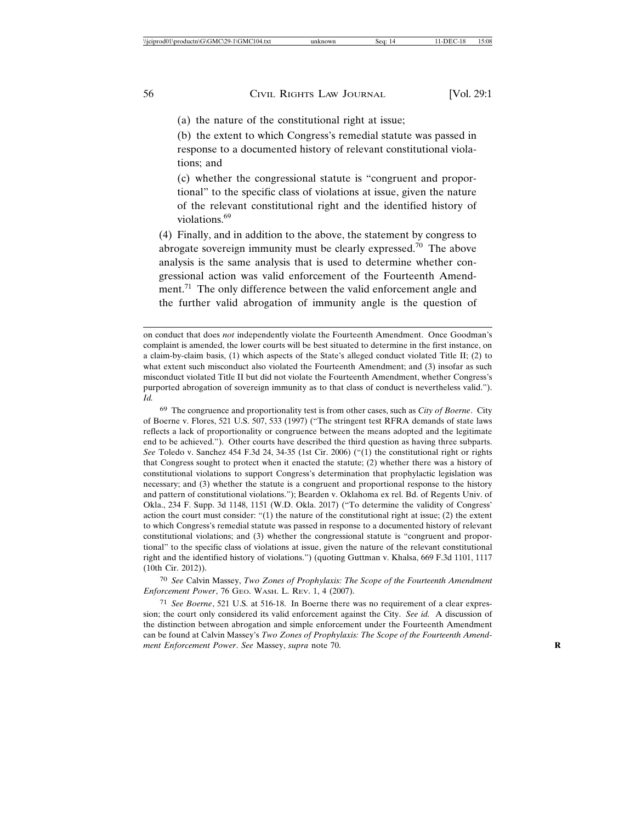(a) the nature of the constitutional right at issue;

(b) the extent to which Congress's remedial statute was passed in response to a documented history of relevant constitutional violations; and

(c) whether the congressional statute is "congruent and proportional" to the specific class of violations at issue, given the nature of the relevant constitutional right and the identified history of violations.<sup>69</sup>

(4) Finally, and in addition to the above, the statement by congress to abrogate sovereign immunity must be clearly expressed.<sup>70</sup> The above analysis is the same analysis that is used to determine whether congressional action was valid enforcement of the Fourteenth Amendment.<sup>71</sup> The only difference between the valid enforcement angle and the further valid abrogation of immunity angle is the question of

69 The congruence and proportionality test is from other cases, such as *City of Boerne*. City of Boerne v. Flores, 521 U.S. 507, 533 (1997) ("The stringent test RFRA demands of state laws reflects a lack of proportionality or congruence between the means adopted and the legitimate end to be achieved."). Other courts have described the third question as having three subparts. *See* Toledo v. Sanchez 454 F.3d 24, 34-35 (1st Cir. 2006) ("(1) the constitutional right or rights that Congress sought to protect when it enacted the statute; (2) whether there was a history of constitutional violations to support Congress's determination that prophylactic legislation was necessary; and (3) whether the statute is a congruent and proportional response to the history and pattern of constitutional violations."); Bearden v. Oklahoma ex rel. Bd. of Regents Univ. of Okla., 234 F. Supp. 3d 1148, 1151 (W.D. Okla. 2017) ("To determine the validity of Congress' action the court must consider: "(1) the nature of the constitutional right at issue; (2) the extent to which Congress's remedial statute was passed in response to a documented history of relevant constitutional violations; and (3) whether the congressional statute is "congruent and proportional" to the specific class of violations at issue, given the nature of the relevant constitutional right and the identified history of violations.") (quoting Guttman v. Khalsa, 669 F.3d 1101, 1117 (10th Cir. 2012)).

70 *See* Calvin Massey, *Two Zones of Prophylaxis: The Scope of the Fourteenth Amendment Enforcement Power*, 76 GEO. WASH. L. REV. 1, 4 (2007).

71 *See Boerne*, 521 U.S. at 516-18. In Boerne there was no requirement of a clear expression; the court only considered its valid enforcement against the City. *See id.* A discussion of the distinction between abrogation and simple enforcement under the Fourteenth Amendment can be found at Calvin Massey's *Two Zones of Prophylaxis: The Scope of the Fourteenth Amendment Enforcement Power*. *See* Massey, *supra* note 70. **R**

on conduct that does *not* independently violate the Fourteenth Amendment. Once Goodman's complaint is amended, the lower courts will be best situated to determine in the first instance, on a claim-by-claim basis, (1) which aspects of the State's alleged conduct violated Title II; (2) to what extent such misconduct also violated the Fourteenth Amendment; and (3) insofar as such misconduct violated Title II but did not violate the Fourteenth Amendment, whether Congress's purported abrogation of sovereign immunity as to that class of conduct is nevertheless valid."). *Id.*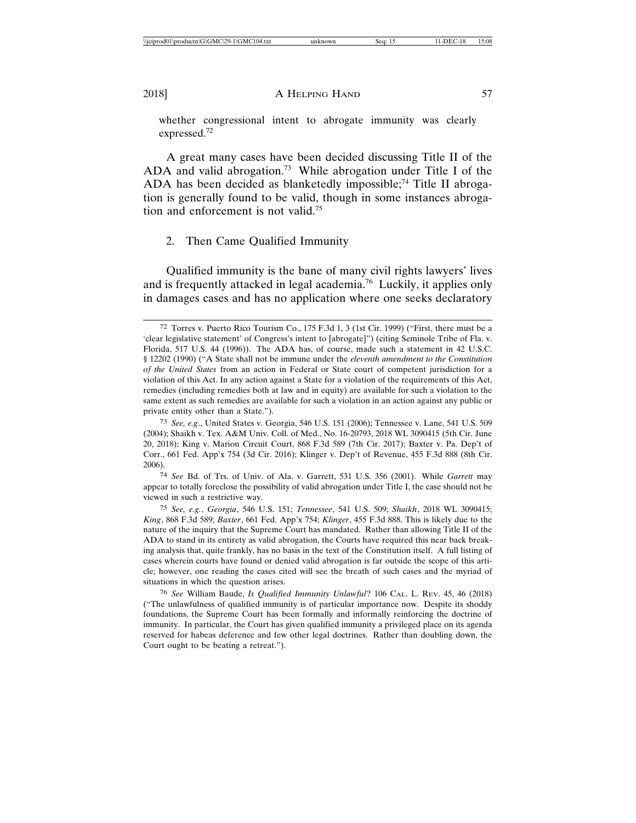whether congressional intent to abrogate immunity was clearly expressed.<sup>72</sup>

A great many cases have been decided discussing Title II of the ADA and valid abrogation.73 While abrogation under Title I of the ADA has been decided as blanketedly impossible;<sup>74</sup> Title II abrogation is generally found to be valid, though in some instances abrogation and enforcement is not valid.75

2. Then Came Qualified Immunity

Qualified immunity is the bane of many civil rights lawyers' lives and is frequently attacked in legal academia.76 Luckily, it applies only in damages cases and has no application where one seeks declaratory

73 *See, e.g*., United States v. Georgia, 546 U.S. 151 (2006); Tennessee v. Lane, 541 U.S. 509 (2004); Shaikh v. Tex. A&M Univ. Coll. of Med., No. 16-20793, 2018 WL 3090415 (5th Cir. June 20, 2018); King v. Marion Circuit Court, 868 F.3d 589 (7th Cir. 2017); Baxter v. Pa. Dep't of Corr., 661 Fed. App'x 754 (3d Cir. 2016); Klinger v. Dep't of Revenue, 455 F.3d 888 (8th Cir. 2006).

74 *See* Bd. of Trs. of Univ. of Ala. v. Garrett, 531 U.S. 356 (2001). While *Garrett* may appear to totally foreclose the possibility of valid abrogation under Title I, the case should not be viewed in such a restrictive way.

75 *See, e.g.*, *Georgia*, 546 U.S. 151; *Tennessee*, 541 U.S. 509; *Shaikh*, 2018 WL 3090415; *King*, 868 F.3d 589; *Baxter*, 661 Fed. App'x 754; *Klinger*, 455 F.3d 888. This is likely due to the nature of the inquiry that the Supreme Court has mandated. Rather than allowing Title II of the ADA to stand in its entirety as valid abrogation, the Courts have required this near back breaking analysis that, quite frankly, has no basis in the text of the Constitution itself. A full listing of cases wherein courts have found or denied valid abrogation is far outside the scope of this article; however, one reading the cases cited will see the breath of such cases and the myriad of situations in which the question arises.

76 *See* William Baude, *Is Qualified Immunity Unlawful*? 106 CAL. L. REV. 45, 46 (2018) ("The unlawfulness of qualified immunity is of particular importance now. Despite its shoddy foundations, the Supreme Court has been formally and informally reinforcing the doctrine of immunity. In particular, the Court has given qualified immunity a privileged place on its agenda reserved for habeas deference and few other legal doctrines. Rather than doubling down, the Court ought to be beating a retreat.").

<sup>72</sup> Torres v. Puerto Rico Tourism Co., 175 F.3d 1, 3 (1st Cir. 1999) ("First, there must be a 'clear legislative statement' of Congress's intent to [abrogate]") (citing Seminole Tribe of Fla. v. Florida, 517 U.S. 44 (1996)). The ADA has, of course, made such a statement in 42 U.S.C. § 12202 (1990) ("A State shall not be immune under the *eleventh amendment to the Constitution of the United States* from an action in Federal or State court of competent jurisdiction for a violation of this Act. In any action against a State for a violation of the requirements of this Act, remedies (including remedies both at law and in equity) are available for such a violation to the same extent as such remedies are available for such a violation in an action against any public or private entity other than a State.").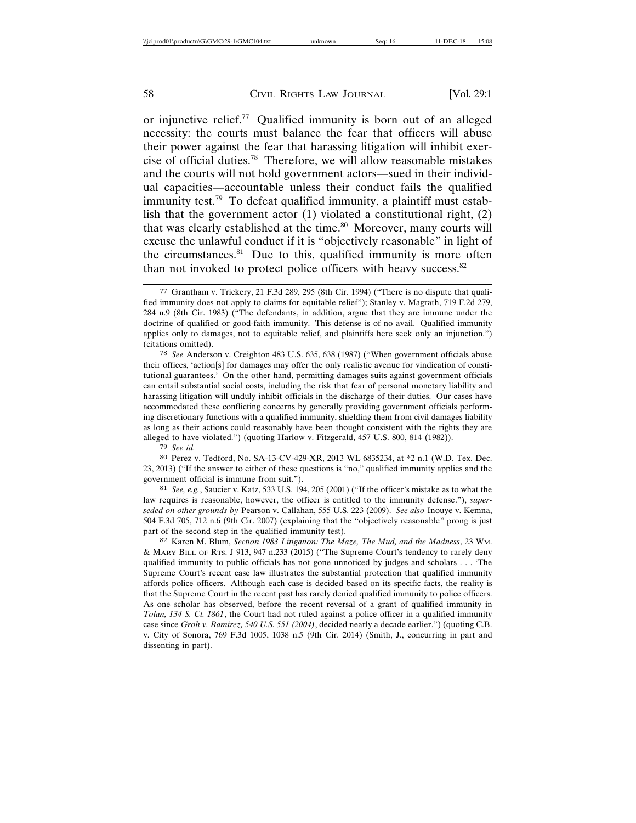or injunctive relief.77 Qualified immunity is born out of an alleged necessity: the courts must balance the fear that officers will abuse their power against the fear that harassing litigation will inhibit exercise of official duties.78 Therefore, we will allow reasonable mistakes and the courts will not hold government actors—sued in their individual capacities—accountable unless their conduct fails the qualified immunity test.<sup>79</sup> To defeat qualified immunity, a plaintiff must establish that the government actor (1) violated a constitutional right, (2) that was clearly established at the time.<sup>80</sup> Moreover, many courts will excuse the unlawful conduct if it is "objectively reasonable" in light of the circumstances.81 Due to this, qualified immunity is more often than not invoked to protect police officers with heavy success. $82$ 

78 *See* Anderson v. Creighton 483 U.S. 635, 638 (1987) ("When government officials abuse their offices, 'action[s] for damages may offer the only realistic avenue for vindication of constitutional guarantees.' On the other hand, permitting damages suits against government officials can entail substantial social costs, including the risk that fear of personal monetary liability and harassing litigation will unduly inhibit officials in the discharge of their duties. Our cases have accommodated these conflicting concerns by generally providing government officials performing discretionary functions with a qualified immunity, shielding them from civil damages liability as long as their actions could reasonably have been thought consistent with the rights they are alleged to have violated.") (quoting Harlow v. Fitzgerald, 457 U.S. 800, 814 (1982)).

79 *See id.* 

80 Perez v. Tedford, No. SA-13-CV-429-XR, 2013 WL 6835234, at \*2 n.1 (W.D. Tex. Dec. 23, 2013) ("If the answer to either of these questions is "no," qualified immunity applies and the government official is immune from suit.").

81 *See, e.g.*, Saucier v. Katz, 533 U.S. 194, 205 (2001) ("If the officer's mistake as to what the law requires is reasonable, however, the officer is entitled to the immunity defense."), *superseded on other grounds by* Pearson v. Callahan, 555 U.S. 223 (2009). *See also* Inouye v. Kemna, 504 F.3d 705, 712 n.6 (9th Cir. 2007) (explaining that the "objectively reasonable" prong is just part of the second step in the qualified immunity test).

82 Karen M. Blum, *Section 1983 Litigation: The Maze, The Mud, and the Madness*, 23 WM. & MARY BILL OF RTS. J 913, 947 n.233 (2015) ("The Supreme Court's tendency to rarely deny qualified immunity to public officials has not gone unnoticed by judges and scholars . . . 'The Supreme Court's recent case law illustrates the substantial protection that qualified immunity affords police officers. Although each case is decided based on its specific facts, the reality is that the Supreme Court in the recent past has rarely denied qualified immunity to police officers. As one scholar has observed, before the recent reversal of a grant of qualified immunity in *Tolan, 134 S. Ct. 1861*, the Court had not ruled against a police officer in a qualified immunity case since *Groh v. Ramirez, 540 U.S. 551 (2004)*, decided nearly a decade earlier.") (quoting C.B. v. City of Sonora, 769 F.3d 1005, 1038 n.5 (9th Cir. 2014) (Smith, J., concurring in part and dissenting in part).

<sup>77</sup> Grantham v. Trickery, 21 F.3d 289, 295 (8th Cir. 1994) ("There is no dispute that qualified immunity does not apply to claims for equitable relief"); Stanley v. Magrath, 719 F.2d 279, 284 n.9 (8th Cir. 1983) ("The defendants, in addition, argue that they are immune under the doctrine of qualified or good-faith immunity. This defense is of no avail. Qualified immunity applies only to damages, not to equitable relief, and plaintiffs here seek only an injunction.") (citations omitted).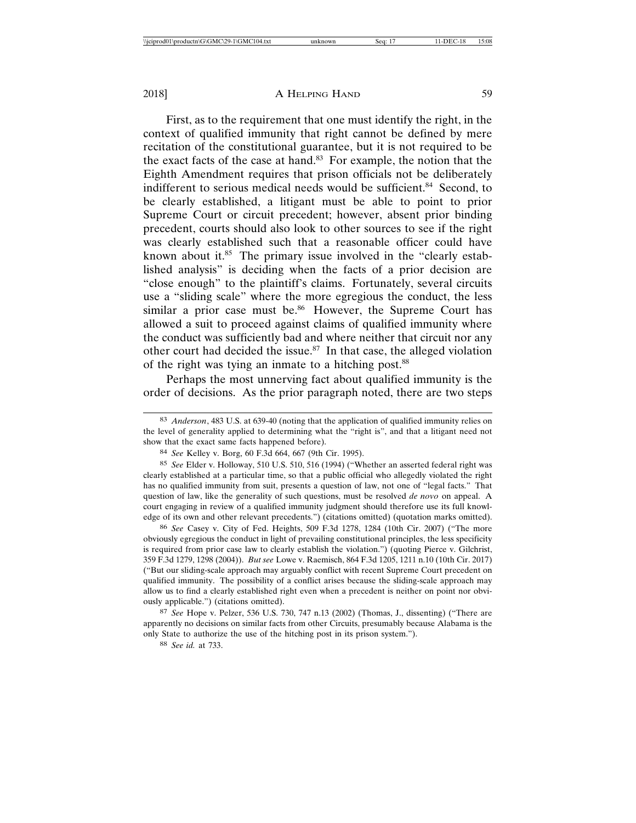First, as to the requirement that one must identify the right, in the context of qualified immunity that right cannot be defined by mere recitation of the constitutional guarantee, but it is not required to be the exact facts of the case at hand. $83$  For example, the notion that the Eighth Amendment requires that prison officials not be deliberately indifferent to serious medical needs would be sufficient.<sup>84</sup> Second, to be clearly established, a litigant must be able to point to prior Supreme Court or circuit precedent; however, absent prior binding precedent, courts should also look to other sources to see if the right was clearly established such that a reasonable officer could have known about it. $85$  The primary issue involved in the "clearly established analysis" is deciding when the facts of a prior decision are "close enough" to the plaintiff's claims. Fortunately, several circuits use a "sliding scale" where the more egregious the conduct, the less similar a prior case must be.<sup>86</sup> However, the Supreme Court has allowed a suit to proceed against claims of qualified immunity where the conduct was sufficiently bad and where neither that circuit nor any other court had decided the issue. $87$  In that case, the alleged violation of the right was tying an inmate to a hitching post.<sup>88</sup>

Perhaps the most unnerving fact about qualified immunity is the order of decisions. As the prior paragraph noted, there are two steps

86 *See* Casey v. City of Fed. Heights, 509 F.3d 1278, 1284 (10th Cir. 2007) ("The more obviously egregious the conduct in light of prevailing constitutional principles, the less specificity is required from prior case law to clearly establish the violation.") (quoting Pierce v. Gilchrist, 359 F.3d 1279, 1298 (2004)). *But see* Lowe v. Raemisch, 864 F.3d 1205, 1211 n.10 (10th Cir. 2017) ("But our sliding-scale approach may arguably conflict with recent Supreme Court precedent on qualified immunity. The possibility of a conflict arises because the sliding-scale approach may allow us to find a clearly established right even when a precedent is neither on point nor obviously applicable.") (citations omitted).

87 *See* Hope v. Pelzer, 536 U.S. 730, 747 n.13 (2002) (Thomas, J., dissenting) ("There are apparently no decisions on similar facts from other Circuits, presumably because Alabama is the only State to authorize the use of the hitching post in its prison system.").

88 *See id.* at 733.

<sup>83</sup> *Anderson*, 483 U.S. at 639-40 (noting that the application of qualified immunity relies on the level of generality applied to determining what the "right is", and that a litigant need not show that the exact same facts happened before).

<sup>84</sup> *See* Kelley v. Borg, 60 F.3d 664, 667 (9th Cir. 1995).

<sup>85</sup> *See* Elder v. Holloway, 510 U.S. 510, 516 (1994) ("Whether an asserted federal right was clearly established at a particular time, so that a public official who allegedly violated the right has no qualified immunity from suit, presents a question of law, not one of "legal facts." That question of law, like the generality of such questions, must be resolved *de novo* on appeal. A court engaging in review of a qualified immunity judgment should therefore use its full knowledge of its own and other relevant precedents.") (citations omitted) (quotation marks omitted).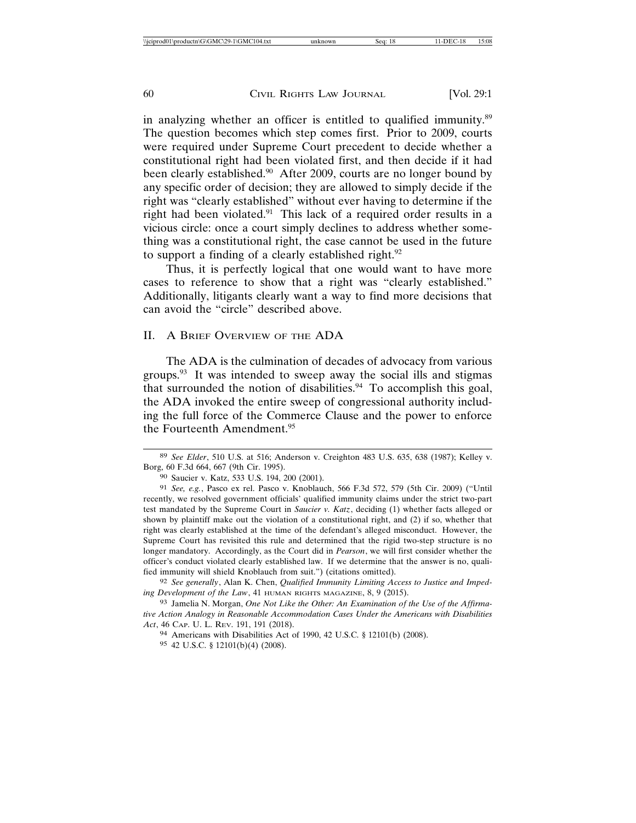in analyzing whether an officer is entitled to qualified immunity.89 The question becomes which step comes first. Prior to 2009, courts were required under Supreme Court precedent to decide whether a constitutional right had been violated first, and then decide if it had been clearly established.<sup>90</sup> After 2009, courts are no longer bound by any specific order of decision; they are allowed to simply decide if the right was "clearly established" without ever having to determine if the right had been violated.<sup>91</sup> This lack of a required order results in a vicious circle: once a court simply declines to address whether something was a constitutional right, the case cannot be used in the future to support a finding of a clearly established right. $92$ 

Thus, it is perfectly logical that one would want to have more cases to reference to show that a right was "clearly established." Additionally, litigants clearly want a way to find more decisions that can avoid the "circle" described above.

## II. A BRIEF OVERVIEW OF THE ADA

The ADA is the culmination of decades of advocacy from various groups.93 It was intended to sweep away the social ills and stigmas that surrounded the notion of disabilities.<sup>94</sup> To accomplish this goal, the ADA invoked the entire sweep of congressional authority including the full force of the Commerce Clause and the power to enforce the Fourteenth Amendment.<sup>95</sup>

<sup>89</sup> *See Elder*, 510 U.S. at 516; Anderson v. Creighton 483 U.S. 635, 638 (1987); Kelley v. Borg, 60 F.3d 664, 667 (9th Cir. 1995).

<sup>90</sup> Saucier v. Katz, 533 U.S. 194, 200 (2001).

<sup>91</sup> *See, e.g.*, Pasco ex rel. Pasco v. Knoblauch, 566 F.3d 572, 579 (5th Cir. 2009) ("Until recently, we resolved government officials' qualified immunity claims under the strict two-part test mandated by the Supreme Court in *Saucier v. Katz*, deciding (1) whether facts alleged or shown by plaintiff make out the violation of a constitutional right, and (2) if so, whether that right was clearly established at the time of the defendant's alleged misconduct. However, the Supreme Court has revisited this rule and determined that the rigid two-step structure is no longer mandatory. Accordingly, as the Court did in *Pearson*, we will first consider whether the officer's conduct violated clearly established law. If we determine that the answer is no, qualified immunity will shield Knoblauch from suit.") (citations omitted).

<sup>92</sup> *See generally*, Alan K. Chen, *Qualified Immunity Limiting Access to Justice and Impeding Development of the Law*, 41 HUMAN RIGHTS MAGAZINE, 8, 9 (2015).

<sup>93</sup> Jamelia N. Morgan, *One Not Like the Other: An Examination of the Use of the Affirmative Action Analogy in Reasonable Accommodation Cases Under the Americans with Disabilities Act*, 46 CAP. U. L. REV. 191, 191 (2018).

<sup>94</sup> Americans with Disabilities Act of 1990, 42 U.S.C. § 12101(b) (2008).

<sup>95</sup> 42 U.S.C. § 12101(b)(4) (2008).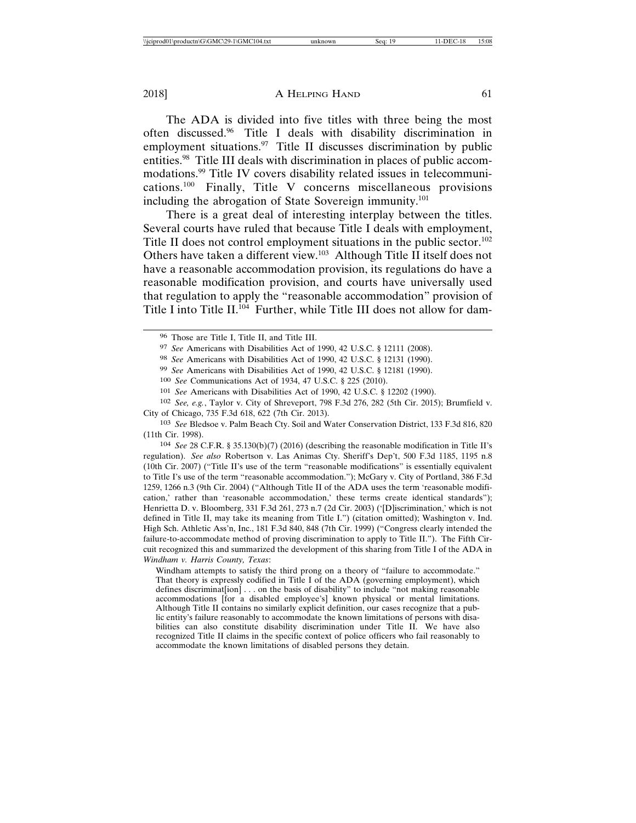The ADA is divided into five titles with three being the most often discussed.96 Title I deals with disability discrimination in employment situations.<sup>97</sup> Title II discusses discrimination by public entities.98 Title III deals with discrimination in places of public accommodations.99 Title IV covers disability related issues in telecommunications.100 Finally, Title V concerns miscellaneous provisions including the abrogation of State Sovereign immunity.<sup>101</sup>

There is a great deal of interesting interplay between the titles. Several courts have ruled that because Title I deals with employment, Title II does not control employment situations in the public sector.<sup>102</sup> Others have taken a different view.103 Although Title II itself does not have a reasonable accommodation provision, its regulations do have a reasonable modification provision, and courts have universally used that regulation to apply the "reasonable accommodation" provision of Title I into Title II.104 Further, while Title III does not allow for dam-

- 98 *See* Americans with Disabilities Act of 1990, 42 U.S.C. § 12131 (1990).
- 99 *See* Americans with Disabilities Act of 1990, 42 U.S.C. § 12181 (1990).
- 100 *See* Communications Act of 1934, 47 U.S.C. § 225 (2010).
- 101 *See* Americans with Disabilities Act of 1990, 42 U.S.C. § 12202 (1990).

102 *See, e.g.*, Taylor v. City of Shreveport, 798 F.3d 276, 282 (5th Cir. 2015); Brumfield v. City of Chicago, 735 F.3d 618, 622 (7th Cir. 2013).

103 *See* Bledsoe v. Palm Beach Cty. Soil and Water Conservation District, 133 F.3d 816, 820 (11th Cir. 1998).

104 *See* 28 C.F.R. § 35.130(b)(7) (2016) (describing the reasonable modification in Title II's regulation). *See also* Robertson v. Las Animas Cty. Sheriff's Dep't, 500 F.3d 1185, 1195 n.8 (10th Cir. 2007) ("Title II's use of the term "reasonable modifications" is essentially equivalent to Title I's use of the term "reasonable accommodation."); McGary v. City of Portland, 386 F.3d 1259, 1266 n.3 (9th Cir. 2004) ("Although Title II of the ADA uses the term 'reasonable modification,' rather than 'reasonable accommodation,' these terms create identical standards"); Henrietta D. v. Bloomberg, 331 F.3d 261, 273 n.7 (2d Cir. 2003) ('[D]iscrimination,' which is not defined in Title II, may take its meaning from Title I.") (citation omitted); Washington v. Ind. High Sch. Athletic Ass'n, Inc., 181 F.3d 840, 848 (7th Cir. 1999) ("Congress clearly intended the failure-to-accommodate method of proving discrimination to apply to Title II."). The Fifth Circuit recognized this and summarized the development of this sharing from Title I of the ADA in *Windham v. Harris County, Texas*:

Windham attempts to satisfy the third prong on a theory of "failure to accommodate." That theory is expressly codified in Title I of the ADA (governing employment), which defines discriminat[ion] . . . on the basis of disability" to include "not making reasonable accommodations [for a disabled employee's] known physical or mental limitations. Although Title II contains no similarly explicit definition, our cases recognize that a public entity's failure reasonably to accommodate the known limitations of persons with disabilities can also constitute disability discrimination under Title II. We have also recognized Title II claims in the specific context of police officers who fail reasonably to accommodate the known limitations of disabled persons they detain.

<sup>96</sup> Those are Title I, Title II, and Title III.

<sup>97</sup> *See* Americans with Disabilities Act of 1990, 42 U.S.C. § 12111 (2008).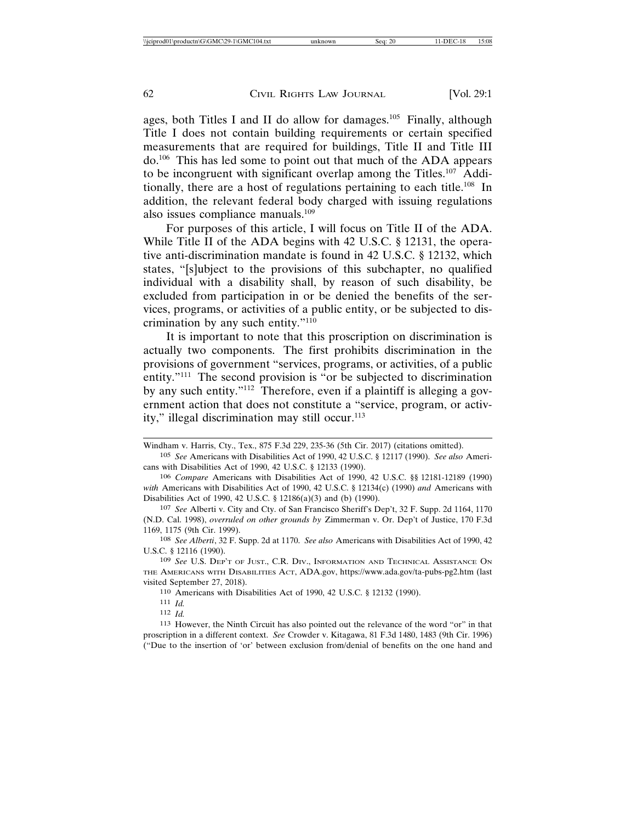ages, both Titles I and II do allow for damages.105 Finally, although Title I does not contain building requirements or certain specified measurements that are required for buildings, Title II and Title III do.106 This has led some to point out that much of the ADA appears to be incongruent with significant overlap among the Titles.107 Additionally, there are a host of regulations pertaining to each title.<sup>108</sup> In addition, the relevant federal body charged with issuing regulations also issues compliance manuals.109

For purposes of this article, I will focus on Title II of the ADA. While Title II of the ADA begins with 42 U.S.C. § 12131, the operative anti-discrimination mandate is found in 42 U.S.C. § 12132, which states, "[s]ubject to the provisions of this subchapter, no qualified individual with a disability shall, by reason of such disability, be excluded from participation in or be denied the benefits of the services, programs, or activities of a public entity, or be subjected to discrimination by any such entity."110

It is important to note that this proscription on discrimination is actually two components. The first prohibits discrimination in the provisions of government "services, programs, or activities, of a public entity."111 The second provision is "or be subjected to discrimination by any such entity."112 Therefore, even if a plaintiff is alleging a government action that does not constitute a "service, program, or activity," illegal discrimination may still occur.<sup>113</sup>

Windham v. Harris, Cty., Tex., 875 F.3d 229, 235-36 (5th Cir. 2017) (citations omitted).

<sup>105</sup> *See* Americans with Disabilities Act of 1990, 42 U.S.C. § 12117 (1990). *See also* Americans with Disabilities Act of 1990, 42 U.S.C. § 12133 (1990).

<sup>106</sup> *Compare* Americans with Disabilities Act of 1990, 42 U.S.C. §§ 12181-12189 (1990) *with* Americans with Disabilities Act of 1990, 42 U.S.C. § 12134(c) (1990) *and* Americans with Disabilities Act of 1990, 42 U.S.C. § 12186(a)(3) and (b) (1990).

<sup>107</sup> *See* Alberti v. City and Cty. of San Francisco Sheriff's Dep't, 32 F. Supp. 2d 1164, 1170 (N.D. Cal. 1998), *overruled on other grounds by* Zimmerman v. Or. Dep't of Justice, 170 F.3d 1169, 1175 (9th Cir. 1999).

<sup>108</sup> *See Alberti*, 32 F. Supp. 2d at 1170. *See also* Americans with Disabilities Act of 1990, 42 U.S.C. § 12116 (1990).

<sup>109</sup> *See* U.S. DEP'T OF JUST., C.R. DIV., INFORMATION AND TECHNICAL ASSISTANCE ON THE AMERICANS WITH DISABILITIES ACT, ADA.gov, https://www.ada.gov/ta-pubs-pg2.htm (last visited September 27, 2018).

<sup>110</sup> Americans with Disabilities Act of 1990, 42 U.S.C. § 12132 (1990).

<sup>111</sup> *Id.* 

<sup>112</sup> *Id.*

<sup>113</sup> However, the Ninth Circuit has also pointed out the relevance of the word "or" in that proscription in a different context. *See* Crowder v. Kitagawa, 81 F.3d 1480, 1483 (9th Cir. 1996) ("Due to the insertion of 'or' between exclusion from/denial of benefits on the one hand and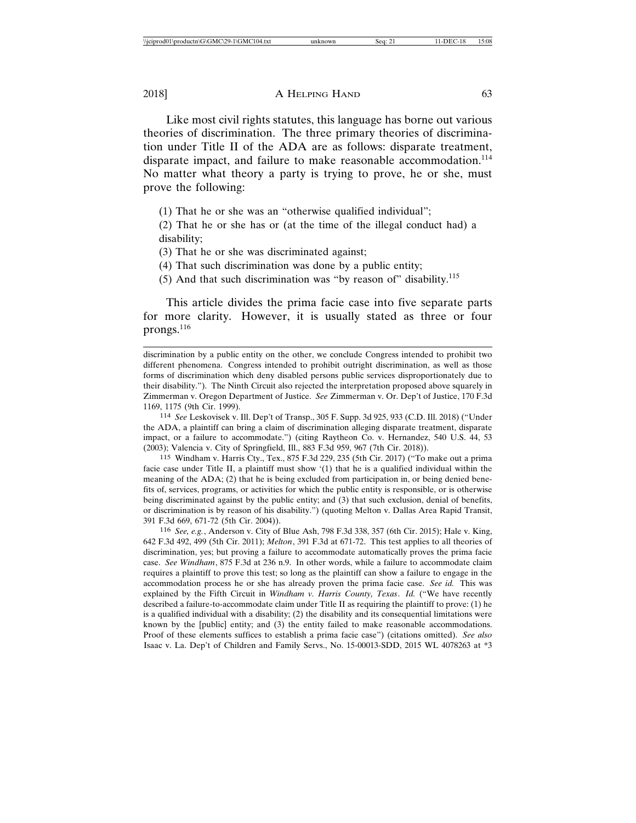Like most civil rights statutes, this language has borne out various theories of discrimination. The three primary theories of discrimination under Title II of the ADA are as follows: disparate treatment, disparate impact, and failure to make reasonable accommodation.<sup>114</sup> No matter what theory a party is trying to prove, he or she, must prove the following:

(1) That he or she was an "otherwise qualified individual";

(2) That he or she has or (at the time of the illegal conduct had) a disability;

(3) That he or she was discriminated against;

(4) That such discrimination was done by a public entity;

(5) And that such discrimination was "by reason of" disability.115

This article divides the prima facie case into five separate parts for more clarity. However, it is usually stated as three or four prongs.<sup>116</sup>

discrimination by a public entity on the other, we conclude Congress intended to prohibit two different phenomena. Congress intended to prohibit outright discrimination, as well as those forms of discrimination which deny disabled persons public services disproportionately due to their disability."). The Ninth Circuit also rejected the interpretation proposed above squarely in Zimmerman v. Oregon Department of Justice. *See* Zimmerman v. Or. Dep't of Justice, 170 F.3d 1169, 1175 (9th Cir. 1999).

114 *See* Leskovisek v. Ill. Dep't of Transp., 305 F. Supp. 3d 925, 933 (C.D. Ill. 2018) ("Under the ADA, a plaintiff can bring a claim of discrimination alleging disparate treatment, disparate impact, or a failure to accommodate.") (citing Raytheon Co. v. Hernandez, 540 U.S. 44, 53 (2003); Valencia v. City of Springfield, Ill., 883 F.3d 959, 967 (7th Cir. 2018)).

115 Windham v. Harris Cty., Tex., 875 F.3d 229, 235 (5th Cir. 2017) ("To make out a prima facie case under Title II, a plaintiff must show '(1) that he is a qualified individual within the meaning of the ADA; (2) that he is being excluded from participation in, or being denied benefits of, services, programs, or activities for which the public entity is responsible, or is otherwise being discriminated against by the public entity; and (3) that such exclusion, denial of benefits, or discrimination is by reason of his disability.") (quoting Melton v. Dallas Area Rapid Transit, 391 F.3d 669, 671-72 (5th Cir. 2004)).

116 *See, e.g.*, Anderson v. City of Blue Ash, 798 F.3d 338, 357 (6th Cir. 2015); Hale v. King, 642 F.3d 492, 499 (5th Cir. 2011); *Melton*, 391 F.3d at 671-72. This test applies to all theories of discrimination, yes; but proving a failure to accommodate automatically proves the prima facie case. *See Windham*, 875 F.3d at 236 n.9. In other words, while a failure to accommodate claim requires a plaintiff to prove this test; so long as the plaintiff can show a failure to engage in the accommodation process he or she has already proven the prima facie case. *See id.* This was explained by the Fifth Circuit in *Windham v. Harris County, Texas*. *Id.* ("We have recently described a failure-to-accommodate claim under Title II as requiring the plaintiff to prove: (1) he is a qualified individual with a disability; (2) the disability and its consequential limitations were known by the [public] entity; and (3) the entity failed to make reasonable accommodations. Proof of these elements suffices to establish a prima facie case") (citations omitted). *See also* Isaac v. La. Dep't of Children and Family Servs., No. 15-00013-SDD, 2015 WL 4078263 at \*3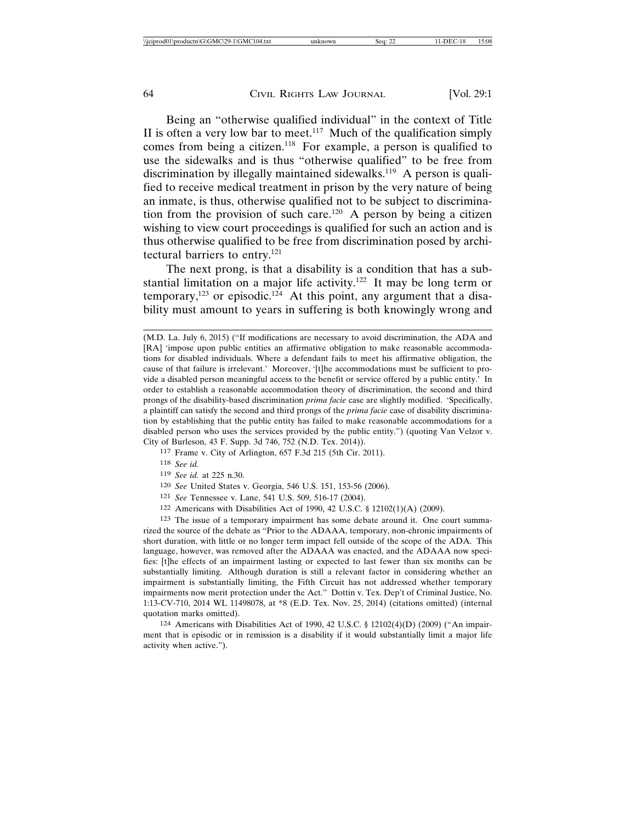Being an "otherwise qualified individual" in the context of Title II is often a very low bar to meet.<sup>117</sup> Much of the qualification simply comes from being a citizen.<sup>118</sup> For example, a person is qualified to use the sidewalks and is thus "otherwise qualified" to be free from discrimination by illegally maintained sidewalks.<sup>119</sup> A person is qualified to receive medical treatment in prison by the very nature of being an inmate, is thus, otherwise qualified not to be subject to discrimination from the provision of such care.<sup>120</sup> A person by being a citizen wishing to view court proceedings is qualified for such an action and is thus otherwise qualified to be free from discrimination posed by architectural barriers to entry.121

The next prong, is that a disability is a condition that has a substantial limitation on a major life activity.<sup>122</sup> It may be long term or temporary,<sup>123</sup> or episodic.<sup>124</sup> At this point, any argument that a disability must amount to years in suffering is both knowingly wrong and

- 117 Frame v. City of Arlington, 657 F.3d 215 (5th Cir. 2011).
- 118 *See id.*
- 119 *See id.* at 225 n.30.
- 120 *See* United States v. Georgia, 546 U.S. 151, 153-56 (2006).
- 121 *See* Tennessee v. Lane, 541 U.S. 509, 516-17 (2004).
- 122 Americans with Disabilities Act of 1990, 42 U.S.C. § 12102(1)(A) (2009).

123 The issue of a temporary impairment has some debate around it. One court summarized the source of the debate as "Prior to the ADAAA, temporary, non-chronic impairments of short duration, with little or no longer term impact fell outside of the scope of the ADA. This language, however, was removed after the ADAAA was enacted, and the ADAAA now specifies: [t]he effects of an impairment lasting or expected to last fewer than six months can be substantially limiting. Although duration is still a relevant factor in considering whether an impairment is substantially limiting, the Fifth Circuit has not addressed whether temporary impairments now merit protection under the Act." Dottin v. Tex. Dep't of Criminal Justice, No. 1:13-CV-710, 2014 WL 11498078, at \*8 (E.D. Tex. Nov. 25, 2014) (citations omitted) (internal quotation marks omitted).

124 Americans with Disabilities Act of 1990, 42 U.S.C. § 12102(4)(D) (2009) ("An impairment that is episodic or in remission is a disability if it would substantially limit a major life activity when active.").

<sup>(</sup>M.D. La. July 6, 2015) ("If modifications are necessary to avoid discrimination, the ADA and [RA] 'impose upon public entities an affirmative obligation to make reasonable accommodations for disabled individuals. Where a defendant fails to meet his affirmative obligation, the cause of that failure is irrelevant.' Moreover, '[t]he accommodations must be sufficient to provide a disabled person meaningful access to the benefit or service offered by a public entity.' In order to establish a reasonable accommodation theory of discrimination, the second and third prongs of the disability-based discrimination *prima facie* case are slightly modified. 'Specifically, a plaintiff can satisfy the second and third prongs of the *prima facie* case of disability discrimination by establishing that the public entity has failed to make reasonable accommodations for a disabled person who uses the services provided by the public entity.") (quoting Van Velzor v. City of Burleson, 43 F. Supp. 3d 746, 752 (N.D. Tex. 2014)).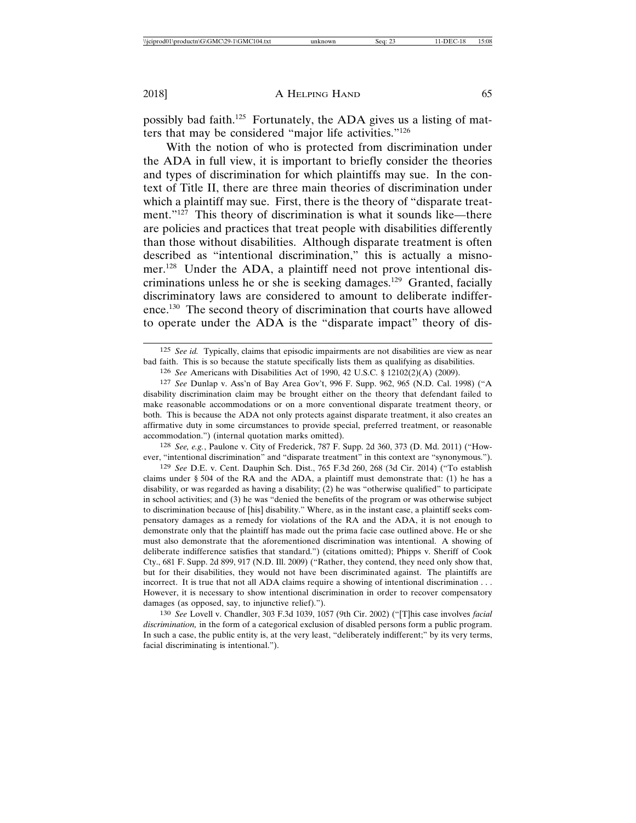possibly bad faith.125 Fortunately, the ADA gives us a listing of matters that may be considered "major life activities."126

With the notion of who is protected from discrimination under the ADA in full view, it is important to briefly consider the theories and types of discrimination for which plaintiffs may sue. In the context of Title II, there are three main theories of discrimination under which a plaintiff may sue. First, there is the theory of "disparate treatment."<sup>127</sup> This theory of discrimination is what it sounds like—there are policies and practices that treat people with disabilities differently than those without disabilities. Although disparate treatment is often described as "intentional discrimination," this is actually a misnomer.128 Under the ADA, a plaintiff need not prove intentional discriminations unless he or she is seeking damages.129 Granted, facially discriminatory laws are considered to amount to deliberate indifference.130 The second theory of discrimination that courts have allowed to operate under the ADA is the "disparate impact" theory of dis-

128 *See, e.g.*, Paulone v. City of Frederick, 787 F. Supp. 2d 360, 373 (D. Md. 2011) ("However, "intentional discrimination" and "disparate treatment" in this context are "synonymous.").

129 *See* D.E. v. Cent. Dauphin Sch. Dist., 765 F.3d 260, 268 (3d Cir. 2014) ("To establish claims under  $\S$  504 of the RA and the ADA, a plaintiff must demonstrate that: (1) he has a disability, or was regarded as having a disability; (2) he was "otherwise qualified" to participate in school activities; and (3) he was "denied the benefits of the program or was otherwise subject to discrimination because of [his] disability." Where, as in the instant case, a plaintiff seeks compensatory damages as a remedy for violations of the RA and the ADA, it is not enough to demonstrate only that the plaintiff has made out the prima facie case outlined above. He or she must also demonstrate that the aforementioned discrimination was intentional. A showing of deliberate indifference satisfies that standard.") (citations omitted); Phipps v. Sheriff of Cook Cty., 681 F. Supp. 2d 899, 917 (N.D. Ill. 2009) ("Rather, they contend, they need only show that, but for their disabilities, they would not have been discriminated against. The plaintiffs are incorrect. It is true that not all ADA claims require a showing of intentional discrimination . . . However, it is necessary to show intentional discrimination in order to recover compensatory damages (as opposed, say, to injunctive relief).").

130 *See* Lovell v. Chandler, 303 F.3d 1039, 1057 (9th Cir. 2002) ("[T]his case involves *facial discrimination,* in the form of a categorical exclusion of disabled persons form a public program. In such a case, the public entity is, at the very least, "deliberately indifferent;" by its very terms, facial discriminating is intentional.").

<sup>125</sup> *See id.* Typically, claims that episodic impairments are not disabilities are view as near bad faith. This is so because the statute specifically lists them as qualifying as disabilities.

<sup>126</sup> *See* Americans with Disabilities Act of 1990, 42 U.S.C. § 12102(2)(A) (2009).

<sup>127</sup> *See* Dunlap v. Ass'n of Bay Area Gov't, 996 F. Supp. 962, 965 (N.D. Cal. 1998) ("A disability discrimination claim may be brought either on the theory that defendant failed to make reasonable accommodations or on a more conventional disparate treatment theory, or both. This is because the ADA not only protects against disparate treatment, it also creates an affirmative duty in some circumstances to provide special, preferred treatment, or reasonable accommodation.") (internal quotation marks omitted).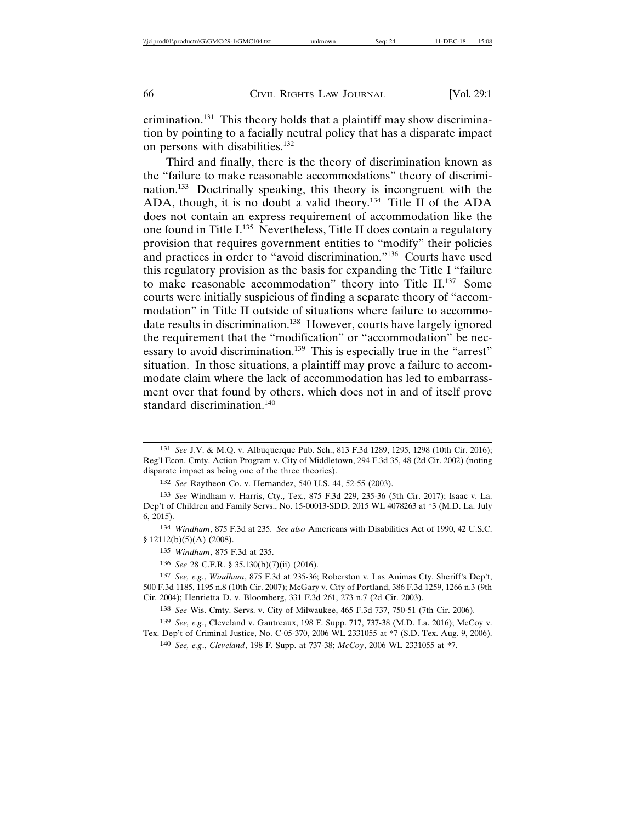crimination.131 This theory holds that a plaintiff may show discrimination by pointing to a facially neutral policy that has a disparate impact on persons with disabilities.<sup>132</sup>

Third and finally, there is the theory of discrimination known as the "failure to make reasonable accommodations" theory of discrimination.133 Doctrinally speaking, this theory is incongruent with the ADA, though, it is no doubt a valid theory.134 Title II of the ADA does not contain an express requirement of accommodation like the one found in Title I.135 Nevertheless, Title II does contain a regulatory provision that requires government entities to "modify" their policies and practices in order to "avoid discrimination."<sup>136</sup> Courts have used this regulatory provision as the basis for expanding the Title I "failure to make reasonable accommodation" theory into Title II.137 Some courts were initially suspicious of finding a separate theory of "accommodation" in Title II outside of situations where failure to accommodate results in discrimination.<sup>138</sup> However, courts have largely ignored the requirement that the "modification" or "accommodation" be necessary to avoid discrimination.<sup>139</sup> This is especially true in the "arrest" situation. In those situations, a plaintiff may prove a failure to accommodate claim where the lack of accommodation has led to embarrassment over that found by others, which does not in and of itself prove standard discrimination.140

136 *See* 28 C.F.R. § 35.130(b)(7)(ii) (2016).

137 *See, e.g.*, *Windham*, 875 F.3d at 235-36; Roberston v. Las Animas Cty. Sheriff's Dep't, 500 F.3d 1185, 1195 n.8 (10th Cir. 2007); McGary v. City of Portland, 386 F.3d 1259, 1266 n.3 (9th Cir. 2004); Henrietta D. v. Bloomberg, 331 F.3d 261, 273 n.7 (2d Cir. 2003).

138 *See* Wis. Cmty. Servs. v. City of Milwaukee, 465 F.3d 737, 750-51 (7th Cir. 2006).

139 *See, e.g*., Cleveland v. Gautreaux, 198 F. Supp. 717, 737-38 (M.D. La. 2016); McCoy v. Tex. Dep't of Criminal Justice, No. C-05-370, 2006 WL 2331055 at \*7 (S.D. Tex. Aug. 9, 2006).

140 *See, e.g*., *Cleveland*, 198 F. Supp. at 737-38; *McCoy*, 2006 WL 2331055 at \*7.

<sup>131</sup> *See* J.V. & M.Q. v. Albuquerque Pub. Sch., 813 F.3d 1289, 1295, 1298 (10th Cir. 2016); Reg'l Econ. Cmty. Action Program v. City of Middletown, 294 F.3d 35, 48 (2d Cir. 2002) (noting disparate impact as being one of the three theories).

<sup>132</sup> *See* Raytheon Co. v. Hernandez, 540 U.S. 44, 52-55 (2003).

<sup>133</sup> *See* Windham v. Harris, Cty., Tex., 875 F.3d 229, 235-36 (5th Cir. 2017); Isaac v. La. Dep't of Children and Family Servs., No. 15-00013-SDD, 2015 WL 4078263 at \*3 (M.D. La. July 6, 2015).

<sup>134</sup> *Windham*, 875 F.3d at 235. *See also* Americans with Disabilities Act of 1990, 42 U.S.C. § 12112(b)(5)(A) (2008).

<sup>135</sup> *Windham*, 875 F.3d at 235.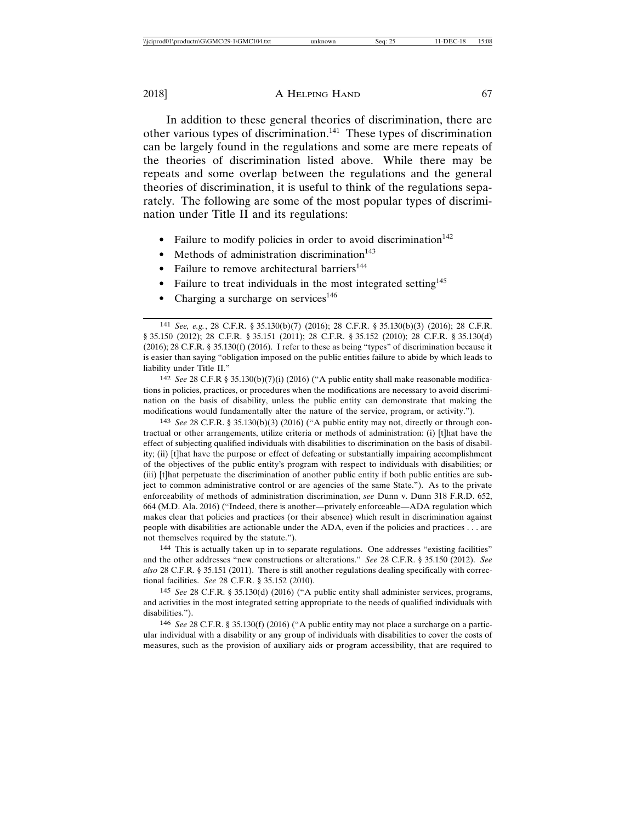In addition to these general theories of discrimination, there are other various types of discrimination.141 These types of discrimination can be largely found in the regulations and some are mere repeats of the theories of discrimination listed above. While there may be repeats and some overlap between the regulations and the general theories of discrimination, it is useful to think of the regulations separately. The following are some of the most popular types of discrimination under Title II and its regulations:

- Failure to modify policies in order to avoid discrimination<sup>142</sup>
- Methods of administration discrimination $143$
- Failure to remove architectural barriers<sup>144</sup>
- Failure to treat individuals in the most integrated setting<sup>145</sup>
- Charging a surcharge on services<sup>146</sup>

142 *See* 28 C.F.R § 35.130(b)(7)(i) (2016) ("A public entity shall make reasonable modifications in policies, practices, or procedures when the modifications are necessary to avoid discrimination on the basis of disability, unless the public entity can demonstrate that making the modifications would fundamentally alter the nature of the service, program, or activity.").

143 *See* 28 C.F.R. § 35.130(b)(3) (2016) ("A public entity may not, directly or through contractual or other arrangements, utilize criteria or methods of administration: (i) [t]hat have the effect of subjecting qualified individuals with disabilities to discrimination on the basis of disability; (ii) [t]hat have the purpose or effect of defeating or substantially impairing accomplishment of the objectives of the public entity's program with respect to individuals with disabilities; or (iii) [t]hat perpetuate the discrimination of another public entity if both public entities are subject to common administrative control or are agencies of the same State."). As to the private enforceability of methods of administration discrimination, *see* Dunn v. Dunn 318 F.R.D. 652, 664 (M.D. Ala. 2016) ("Indeed, there is another—privately enforceable—ADA regulation which makes clear that policies and practices (or their absence) which result in discrimination against people with disabilities are actionable under the ADA, even if the policies and practices . . . are not themselves required by the statute.").

144 This is actually taken up in to separate regulations. One addresses "existing facilities" and the other addresses "new constructions or alterations." *See* 28 C.F.R. § 35.150 (2012). *See also* 28 C.F.R. § 35.151 (2011). There is still another regulations dealing specifically with correctional facilities. *See* 28 C.F.R. § 35.152 (2010).

145 *See* 28 C.F.R. § 35.130(d) (2016) ("A public entity shall administer services, programs, and activities in the most integrated setting appropriate to the needs of qualified individuals with disabilities.").

146 *See* 28 C.F.R. § 35.130(f) (2016) ("A public entity may not place a surcharge on a particular individual with a disability or any group of individuals with disabilities to cover the costs of measures, such as the provision of auxiliary aids or program accessibility, that are required to

<sup>141</sup> *See, e.g.*, 28 C.F.R. § 35.130(b)(7) (2016); 28 C.F.R. § 35.130(b)(3) (2016); 28 C.F.R. § 35.150 (2012); 28 C.F.R. § 35.151 (2011); 28 C.F.R. § 35.152 (2010); 28 C.F.R. § 35.130(d) (2016); 28 C.F.R. § 35.130(f) (2016). I refer to these as being "types" of discrimination because it is easier than saying "obligation imposed on the public entities failure to abide by which leads to liability under Title II."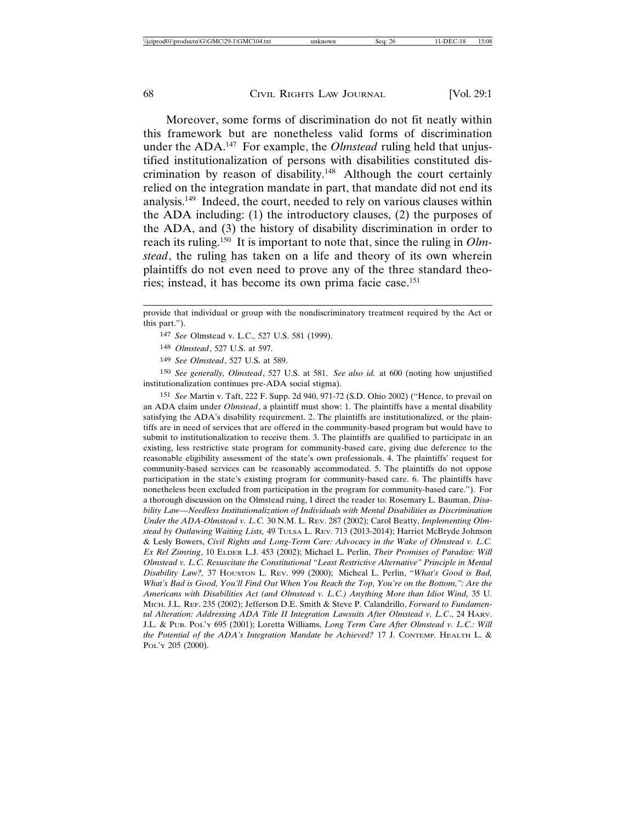Moreover, some forms of discrimination do not fit neatly within this framework but are nonetheless valid forms of discrimination under the ADA.<sup>147</sup> For example, the *Olmstead* ruling held that unjustified institutionalization of persons with disabilities constituted discrimination by reason of disability.<sup>148</sup> Although the court certainly relied on the integration mandate in part, that mandate did not end its analysis.149 Indeed, the court, needed to rely on various clauses within the ADA including: (1) the introductory clauses, (2) the purposes of the ADA, and (3) the history of disability discrimination in order to reach its ruling.150 It is important to note that, since the ruling in *Olmstead*, the ruling has taken on a life and theory of its own wherein plaintiffs do not even need to prove any of the three standard theories; instead, it has become its own prima facie case.<sup>151</sup>

147 *See* Olmstead v. L.C., 527 U.S. 581 (1999).

148 *Olmstead*, 527 U.S. at 597.

149 *See Olmstead*, 527 U.S. at 589.

150 *See generally, Olmstead*, 527 U.S. at 581. *See also id.* at 600 (noting how unjustified institutionalization continues pre-ADA social stigma).

151 *See* Martin v. Taft, 222 F. Supp. 2d 940, 971-72 (S.D. Ohio 2002) ("Hence, to prevail on an ADA claim under *Olmstead*, a plaintiff must show: 1. The plaintiffs have a mental disability satisfying the ADA's disability requirement. 2. The plaintiffs are institutionalized, or the plaintiffs are in need of services that are offered in the community-based program but would have to submit to institutionalization to receive them. 3. The plaintiffs are qualified to participate in an existing, less restrictive state program for community-based care, giving due deference to the reasonable eligibility assessment of the state's own professionals. 4. The plaintiffs' request for community-based services can be reasonably accommodated. 5. The plaintiffs do not oppose participation in the state's existing program for community-based care. 6. The plaintiffs have nonetheless been excluded from participation in the program for community-based care."). For a thorough discussion on the Olmstead ruing, I direct the reader to: Rosemary L. Bauman, *Disability Law—Needless Institutionalization of Individuals with Mental Disabilities as Discrimination Under the ADA-Olmstead v. L.C.* 30 N.M. L. REV. 287 (2002); Carol Beatty, *Implementing Olmstead by Outlawing Waiting Lists,* 49 TULSA L. REV. 713 (2013-2014); Harriet McBryde Johnson & Lesly Bowers, *Civil Rights and Long-Term Care: Advocacy in the Wake of Olmstead v. L.C. Ex Rel Zimring*, 10 ELDER L.J. 453 (2002); Michael L. Perlin, *Their Promises of Paradise: Will Olmstead v. L.C. Resuscitate the Constitutional "Least Restrictive Alternative" Principle in Mental Disability Law?,* 37 HOUSTON L. REV. 999 (2000); Micheal L. Perlin, "*What's Good is Bad, What's Bad is Good, You'll Find Out When You Reach the Top, You're on the Bottom,": Are the Americans with Disabilities Act (and Olmstead v. L.C.) Anything More than Idiot Wind,* 35 U. MICH. J.L. REF. 235 (2002); Jefferson D.E. Smith & Steve P. Calandrillo, *Forward to Fundamental Alteration: Addressing ADA Title II Integration Lawsuits After Olmstead v. L.C*., 24 HARV. J.L. & PUB. POL'Y 695 (2001); Loretta Williams, *Long Term Care After Olmstead v. L.C.: Will the Potential of the ADA's Integration Mandate be Achieved?* 17 J. CONTEMP. HEALTH L. & POL'Y 205 (2000).

provide that individual or group with the nondiscriminatory treatment required by the Act or this part.").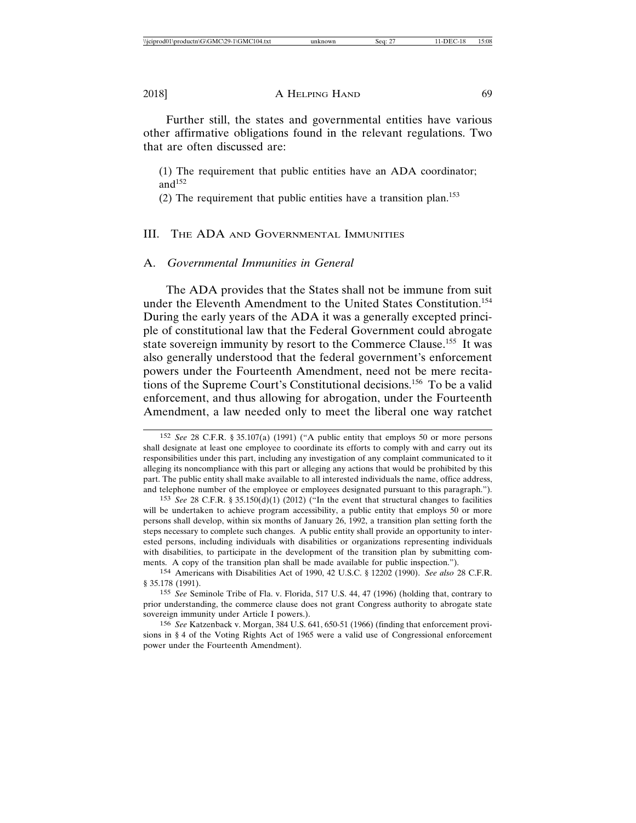Further still, the states and governmental entities have various other affirmative obligations found in the relevant regulations. Two that are often discussed are:

(1) The requirement that public entities have an ADA coordinator; and $152$ 

(2) The requirement that public entities have a transition plan.<sup>153</sup>

## III. THE ADA AND GOVERNMENTAL IMMUNITIES

## A. *Governmental Immunities in General*

The ADA provides that the States shall not be immune from suit under the Eleventh Amendment to the United States Constitution.154 During the early years of the ADA it was a generally excepted principle of constitutional law that the Federal Government could abrogate state sovereign immunity by resort to the Commerce Clause.<sup>155</sup> It was also generally understood that the federal government's enforcement powers under the Fourteenth Amendment, need not be mere recitations of the Supreme Court's Constitutional decisions.156 To be a valid enforcement, and thus allowing for abrogation, under the Fourteenth Amendment, a law needed only to meet the liberal one way ratchet

<sup>152</sup> *See* 28 C.F.R. § 35.107(a) (1991) ("A public entity that employs 50 or more persons shall designate at least one employee to coordinate its efforts to comply with and carry out its responsibilities under this part, including any investigation of any complaint communicated to it alleging its noncompliance with this part or alleging any actions that would be prohibited by this part. The public entity shall make available to all interested individuals the name, office address, and telephone number of the employee or employees designated pursuant to this paragraph.").

<sup>153</sup> *See* 28 C.F.R. § 35.150(d)(1) (2012) ("In the event that structural changes to facilities will be undertaken to achieve program accessibility, a public entity that employs 50 or more persons shall develop, within six months of January 26, 1992, a transition plan setting forth the steps necessary to complete such changes. A public entity shall provide an opportunity to interested persons, including individuals with disabilities or organizations representing individuals with disabilities, to participate in the development of the transition plan by submitting comments. A copy of the transition plan shall be made available for public inspection.").

<sup>154</sup> Americans with Disabilities Act of 1990, 42 U.S.C. § 12202 (1990). *See also* 28 C.F.R. § 35.178 (1991).

<sup>155</sup> *See* Seminole Tribe of Fla. v. Florida, 517 U.S. 44, 47 (1996) (holding that, contrary to prior understanding, the commerce clause does not grant Congress authority to abrogate state sovereign immunity under Article I powers.).

<sup>156</sup> *See* Katzenback v. Morgan, 384 U.S. 641, 650-51 (1966) (finding that enforcement provisions in § 4 of the Voting Rights Act of 1965 were a valid use of Congressional enforcement power under the Fourteenth Amendment).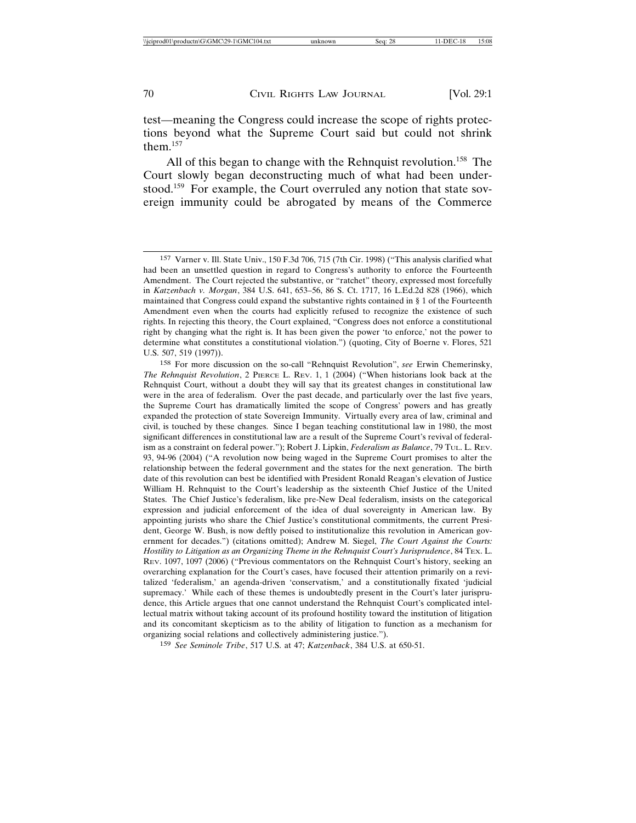test—meaning the Congress could increase the scope of rights protections beyond what the Supreme Court said but could not shrink them.157

All of this began to change with the Rehnquist revolution.<sup>158</sup> The Court slowly began deconstructing much of what had been understood.<sup>159</sup> For example, the Court overruled any notion that state sovereign immunity could be abrogated by means of the Commerce

159 *See Seminole Tribe*, 517 U.S. at 47; *Katzenback*, 384 U.S. at 650-51.

<sup>157</sup> Varner v. Ill. State Univ., 150 F.3d 706, 715 (7th Cir. 1998) ("This analysis clarified what had been an unsettled question in regard to Congress's authority to enforce the Fourteenth Amendment. The Court rejected the substantive, or "ratchet" theory, expressed most forcefully in *Katzenbach v. Morgan*, 384 U.S. 641, 653–56, 86 S. Ct. 1717, 16 L.Ed.2d 828 (1966), which maintained that Congress could expand the substantive rights contained in § 1 of the Fourteenth Amendment even when the courts had explicitly refused to recognize the existence of such rights. In rejecting this theory, the Court explained, "Congress does not enforce a constitutional right by changing what the right is. It has been given the power 'to enforce,' not the power to determine what constitutes a constitutional violation.") (quoting, City of Boerne v. Flores, 521 U.S. 507, 519 (1997)).

<sup>158</sup> For more discussion on the so-call "Rehnquist Revolution", *see* Erwin Chemerinsky, *The Rehnquist Revolution*, 2 PIERCE L. REV. 1, 1 (2004) ("When historians look back at the Rehnquist Court, without a doubt they will say that its greatest changes in constitutional law were in the area of federalism. Over the past decade, and particularly over the last five years, the Supreme Court has dramatically limited the scope of Congress' powers and has greatly expanded the protection of state Sovereign Immunity. Virtually every area of law, criminal and civil, is touched by these changes. Since I began teaching constitutional law in 1980, the most significant differences in constitutional law are a result of the Supreme Court's revival of federalism as a constraint on federal power."); Robert J. Lipkin, *Federalism as Balance*, 79 TUL. L. REV. 93, 94-96 (2004) ("A revolution now being waged in the Supreme Court promises to alter the relationship between the federal government and the states for the next generation. The birth date of this revolution can best be identified with President Ronald Reagan's elevation of Justice William H. Rehnquist to the Court's leadership as the sixteenth Chief Justice of the United States. The Chief Justice's federalism, like pre-New Deal federalism, insists on the categorical expression and judicial enforcement of the idea of dual sovereignty in American law. By appointing jurists who share the Chief Justice's constitutional commitments, the current President, George W. Bush, is now deftly poised to institutionalize this revolution in American government for decades.") (citations omitted); Andrew M. Siegel, *The Court Against the Courts: Hostility to Litigation as an Organizing Theme in the Rehnquist Court's Jurisprudence*, 84 TEX. L. REV. 1097, 1097 (2006) ("Previous commentators on the Rehnquist Court's history, seeking an overarching explanation for the Court's cases, have focused their attention primarily on a revitalized 'federalism,' an agenda-driven 'conservatism,' and a constitutionally fixated 'judicial supremacy.' While each of these themes is undoubtedly present in the Court's later jurisprudence, this Article argues that one cannot understand the Rehnquist Court's complicated intellectual matrix without taking account of its profound hostility toward the institution of litigation and its concomitant skepticism as to the ability of litigation to function as a mechanism for organizing social relations and collectively administering justice.").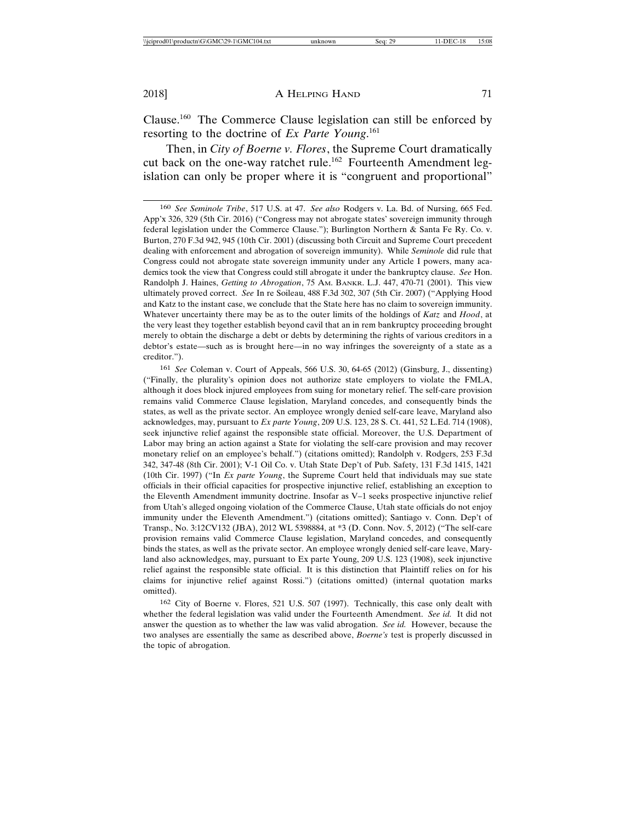Clause.160 The Commerce Clause legislation can still be enforced by resorting to the doctrine of *Ex Parte Young*. 161

Then, in *City of Boerne v. Flores*, the Supreme Court dramatically cut back on the one-way ratchet rule.<sup>162</sup> Fourteenth Amendment legislation can only be proper where it is "congruent and proportional"

161 *See* Coleman v. Court of Appeals, 566 U.S. 30, 64-65 (2012) (Ginsburg, J., dissenting) ("Finally, the plurality's opinion does not authorize state employers to violate the FMLA, although it does block injured employees from suing for monetary relief. The self-care provision remains valid Commerce Clause legislation, Maryland concedes, and consequently binds the states, as well as the private sector. An employee wrongly denied self-care leave, Maryland also acknowledges, may, pursuant to *Ex parte Young*, 209 U.S. 123, 28 S. Ct. 441, 52 L.Ed. 714 (1908), seek injunctive relief against the responsible state official. Moreover, the U.S. Department of Labor may bring an action against a State for violating the self-care provision and may recover monetary relief on an employee's behalf.") (citations omitted); Randolph v. Rodgers, 253 F.3d 342, 347-48 (8th Cir. 2001); V-1 Oil Co. v. Utah State Dep't of Pub. Safety, 131 F.3d 1415, 1421 (10th Cir. 1997) ("In *Ex parte Young*, the Supreme Court held that individuals may sue state officials in their official capacities for prospective injunctive relief, establishing an exception to the Eleventh Amendment immunity doctrine. Insofar as V–1 seeks prospective injunctive relief from Utah's alleged ongoing violation of the Commerce Clause, Utah state officials do not enjoy immunity under the Eleventh Amendment.") (citations omitted); Santiago v. Conn. Dep't of Transp., No. 3:12CV132 (JBA), 2012 WL 5398884, at \*3 (D. Conn. Nov. 5, 2012) ("The self-care provision remains valid Commerce Clause legislation, Maryland concedes, and consequently binds the states, as well as the private sector. An employee wrongly denied self-care leave, Maryland also acknowledges, may, pursuant to Ex parte Young, 209 U.S. 123 (1908), seek injunctive relief against the responsible state official. It is this distinction that Plaintiff relies on for his claims for injunctive relief against Rossi.") (citations omitted) (internal quotation marks omitted).

162 City of Boerne v. Flores, 521 U.S. 507 (1997). Technically, this case only dealt with whether the federal legislation was valid under the Fourteenth Amendment. *See id.* It did not answer the question as to whether the law was valid abrogation. *See id.* However, because the two analyses are essentially the same as described above, *Boerne's* test is properly discussed in the topic of abrogation.

<sup>160</sup> *See Seminole Tribe*, 517 U.S. at 47. *See also* Rodgers v. La. Bd. of Nursing, 665 Fed. App'x 326, 329 (5th Cir. 2016) ("Congress may not abrogate states' sovereign immunity through federal legislation under the Commerce Clause."); Burlington Northern & Santa Fe Ry. Co. v. Burton, 270 F.3d 942, 945 (10th Cir. 2001) (discussing both Circuit and Supreme Court precedent dealing with enforcement and abrogation of sovereign immunity). While *Seminole* did rule that Congress could not abrogate state sovereign immunity under any Article I powers, many academics took the view that Congress could still abrogate it under the bankruptcy clause. *See* Hon. Randolph J. Haines, *Getting to Abrogation*, 75 AM. BANKR. L.J. 447, 470-71 (2001). This view ultimately proved correct. *See* In re Soileau, 488 F.3d 302, 307 (5th Cir. 2007) ("Applying Hood and Katz to the instant case, we conclude that the State here has no claim to sovereign immunity. Whatever uncertainty there may be as to the outer limits of the holdings of *Katz* and *Hood*, at the very least they together establish beyond cavil that an in rem bankruptcy proceeding brought merely to obtain the discharge a debt or debts by determining the rights of various creditors in a debtor's estate—such as is brought here—in no way infringes the sovereignty of a state as a creditor.").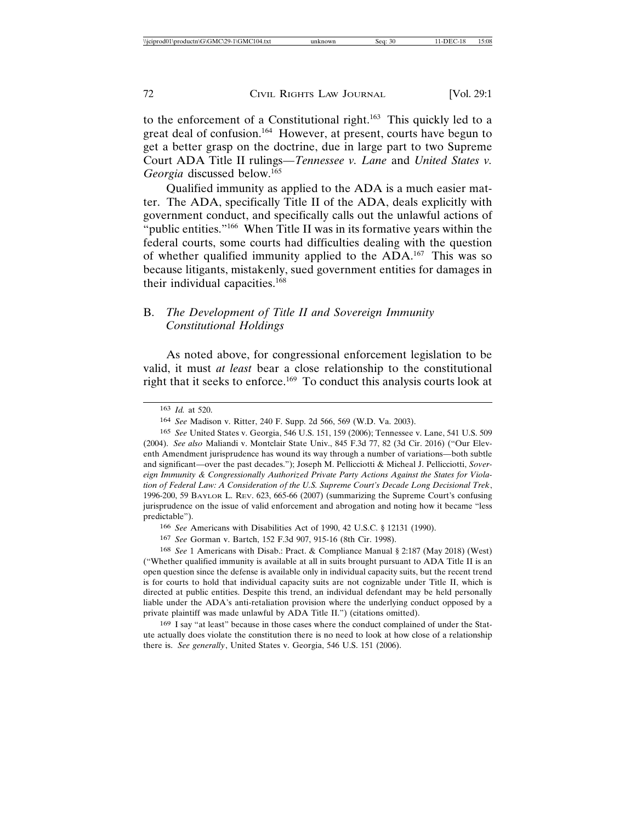to the enforcement of a Constitutional right.<sup>163</sup> This quickly led to a great deal of confusion.164 However, at present, courts have begun to get a better grasp on the doctrine, due in large part to two Supreme Court ADA Title II rulings—*Tennessee v. Lane* and *United States v. Georgia* discussed below.165

Qualified immunity as applied to the ADA is a much easier matter. The ADA, specifically Title II of the ADA, deals explicitly with government conduct, and specifically calls out the unlawful actions of "public entities."166 When Title II was in its formative years within the federal courts, some courts had difficulties dealing with the question of whether qualified immunity applied to the ADA.167 This was so because litigants, mistakenly, sued government entities for damages in their individual capacities.168

## B. *The Development of Title II and Sovereign Immunity Constitutional Holdings*

As noted above, for congressional enforcement legislation to be valid, it must *at least* bear a close relationship to the constitutional right that it seeks to enforce.169 To conduct this analysis courts look at

<sup>163</sup> *Id.* at 520.

<sup>164</sup> *See* Madison v. Ritter, 240 F. Supp. 2d 566, 569 (W.D. Va. 2003).

<sup>165</sup> *See* United States v. Georgia, 546 U.S. 151, 159 (2006); Tennessee v. Lane, 541 U.S. 509 (2004). *See also* Maliandi v. Montclair State Univ., 845 F.3d 77, 82 (3d Cir. 2016) ("Our Eleventh Amendment jurisprudence has wound its way through a number of variations—both subtle and significant—over the past decades."); Joseph M. Pellicciotti & Micheal J. Pellicciotti, *Sovereign Immunity & Congressionally Authorized Private Party Actions Against the States for Violation of Federal Law: A Consideration of the U.S. Supreme Court's Decade Long Decisional Trek*, 1996-200, 59 BAYLOR L. REV. 623, 665-66 (2007) (summarizing the Supreme Court's confusing jurisprudence on the issue of valid enforcement and abrogation and noting how it became "less predictable").

<sup>166</sup> *See* Americans with Disabilities Act of 1990, 42 U.S.C. § 12131 (1990).

<sup>167</sup> *See* Gorman v. Bartch, 152 F.3d 907, 915-16 (8th Cir. 1998).

<sup>168</sup> *See* 1 Americans with Disab.: Pract. & Compliance Manual § 2:187 (May 2018) (West) ("Whether qualified immunity is available at all in suits brought pursuant to ADA Title II is an open question since the defense is available only in individual capacity suits, but the recent trend is for courts to hold that individual capacity suits are not cognizable under Title II, which is directed at public entities. Despite this trend, an individual defendant may be held personally liable under the ADA's anti-retaliation provision where the underlying conduct opposed by a private plaintiff was made unlawful by ADA Title II.") (citations omitted).

<sup>&</sup>lt;sup>169</sup> I say "at least" because in those cases where the conduct complained of under the Statute actually does violate the constitution there is no need to look at how close of a relationship there is. *See generally*, United States v. Georgia, 546 U.S. 151 (2006).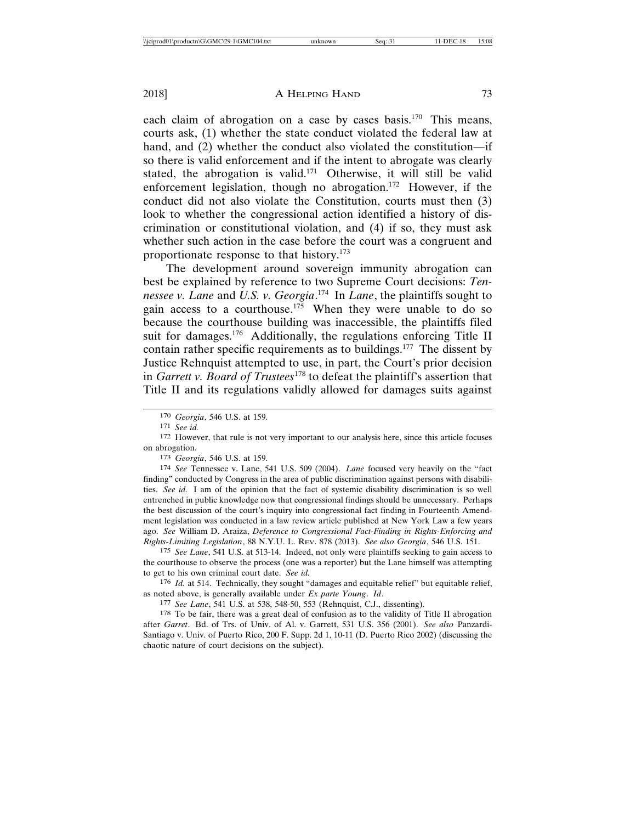each claim of abrogation on a case by cases basis.<sup>170</sup> This means, courts ask, (1) whether the state conduct violated the federal law at hand, and (2) whether the conduct also violated the constitution—if so there is valid enforcement and if the intent to abrogate was clearly stated, the abrogation is valid.<sup>171</sup> Otherwise, it will still be valid enforcement legislation, though no abrogation.<sup>172</sup> However, if the conduct did not also violate the Constitution, courts must then (3) look to whether the congressional action identified a history of discrimination or constitutional violation, and (4) if so, they must ask whether such action in the case before the court was a congruent and proportionate response to that history.173

The development around sovereign immunity abrogation can best be explained by reference to two Supreme Court decisions: *Tennessee v. Lane* and *U.S. v. Georgia*. 174 In *Lane*, the plaintiffs sought to gain access to a courthouse.<sup>175</sup> When they were unable to do so because the courthouse building was inaccessible, the plaintiffs filed suit for damages.<sup>176</sup> Additionally, the regulations enforcing Title II contain rather specific requirements as to buildings.<sup>177</sup> The dissent by Justice Rehnquist attempted to use, in part, the Court's prior decision in *Garrett v. Board of Trustees*178 to defeat the plaintiff's assertion that Title II and its regulations validly allowed for damages suits against

173 *Georgia*, 546 U.S. at 159.

174 *See* Tennessee v. Lane, 541 U.S. 509 (2004). *Lane* focused very heavily on the "fact finding" conducted by Congress in the area of public discrimination against persons with disabilities. *See id.* I am of the opinion that the fact of systemic disability discrimination is so well entrenched in public knowledge now that congressional findings should be unnecessary. Perhaps the best discussion of the court's inquiry into congressional fact finding in Fourteenth Amendment legislation was conducted in a law review article published at New York Law a few years ago. *See* William D. Araiza, *Deference to Congressional Fact-Finding in Rights-Enforcing and Rights-Limiting Legislation*, 88 N.Y.U. L. REV. 878 (2013). *See also Georgia*, 546 U.S. 151.

175 *See Lane*, 541 U.S. at 513-14. Indeed, not only were plaintiffs seeking to gain access to the courthouse to observe the process (one was a reporter) but the Lane himself was attempting to get to his own criminal court date. *See id.*

176 *Id.* at 514. Technically, they sought "damages and equitable relief" but equitable relief, as noted above, is generally available under *Ex parte Young*. *Id*.

177 *See Lane*, 541 U.S. at 538, 548-50, 553 (Rehnquist, C.J., dissenting).

178 To be fair, there was a great deal of confusion as to the validity of Title II abrogation after *Garret*. Bd. of Trs. of Univ. of Al. v. Garrett, 531 U.S. 356 (2001). *See also* Panzardi-Santiago v. Univ. of Puerto Rico, 200 F. Supp. 2d 1, 10-11 (D. Puerto Rico 2002) (discussing the chaotic nature of court decisions on the subject).

<sup>170</sup> *Georgia*, 546 U.S. at 159.

<sup>171</sup> *See id.*

<sup>172</sup> However, that rule is not very important to our analysis here, since this article focuses on abrogation.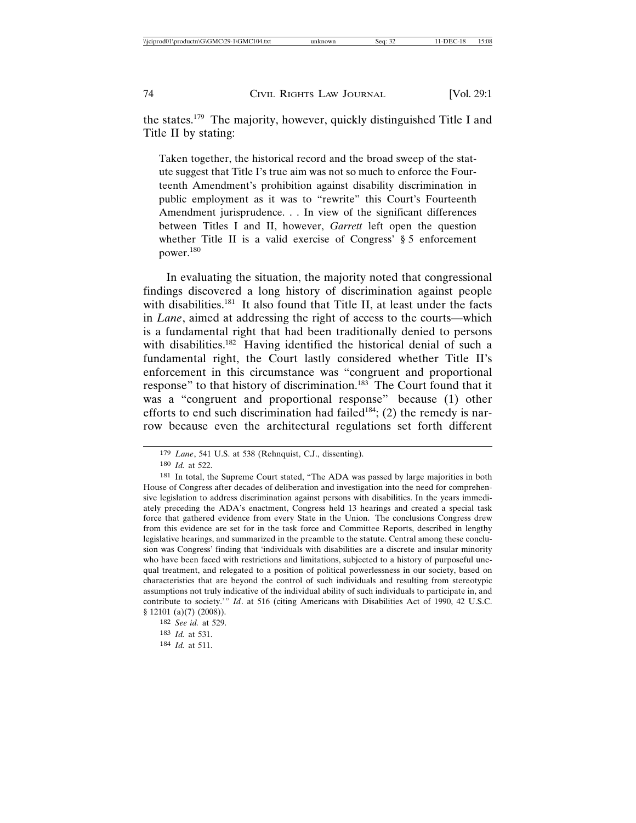the states.179 The majority, however, quickly distinguished Title I and Title II by stating:

Taken together, the historical record and the broad sweep of the statute suggest that Title I's true aim was not so much to enforce the Fourteenth Amendment's prohibition against disability discrimination in public employment as it was to "rewrite" this Court's Fourteenth Amendment jurisprudence. . . In view of the significant differences between Titles I and II, however, *Garrett* left open the question whether Title II is a valid exercise of Congress' § 5 enforcement power.<sup>180</sup>

In evaluating the situation, the majority noted that congressional findings discovered a long history of discrimination against people with disabilities.<sup>181</sup> It also found that Title II, at least under the facts in *Lane*, aimed at addressing the right of access to the courts—which is a fundamental right that had been traditionally denied to persons with disabilities.<sup>182</sup> Having identified the historical denial of such a fundamental right, the Court lastly considered whether Title II's enforcement in this circumstance was "congruent and proportional response" to that history of discrimination.183 The Court found that it was a "congruent and proportional response" because (1) other efforts to end such discrimination had failed<sup>184</sup>; (2) the remedy is narrow because even the architectural regulations set forth different

<sup>179</sup> *Lane*, 541 U.S. at 538 (Rehnquist, C.J., dissenting).

<sup>180</sup> *Id.* at 522.

<sup>181</sup> In total, the Supreme Court stated, "The ADA was passed by large majorities in both House of Congress after decades of deliberation and investigation into the need for comprehensive legislation to address discrimination against persons with disabilities. In the years immediately preceding the ADA's enactment, Congress held 13 hearings and created a special task force that gathered evidence from every State in the Union. The conclusions Congress drew from this evidence are set for in the task force and Committee Reports, described in lengthy legislative hearings, and summarized in the preamble to the statute. Central among these conclusion was Congress' finding that 'individuals with disabilities are a discrete and insular minority who have been faced with restrictions and limitations, subjected to a history of purposeful unequal treatment, and relegated to a position of political powerlessness in our society, based on characteristics that are beyond the control of such individuals and resulting from stereotypic assumptions not truly indicative of the individual ability of such individuals to participate in, and contribute to society.'" *Id*. at 516 (citing Americans with Disabilities Act of 1990, 42 U.S.C. § 12101 (a)(7) (2008)).

<sup>182</sup> *See id.* at 529.

<sup>183</sup> *Id.* at 531.

<sup>184</sup> *Id.* at 511.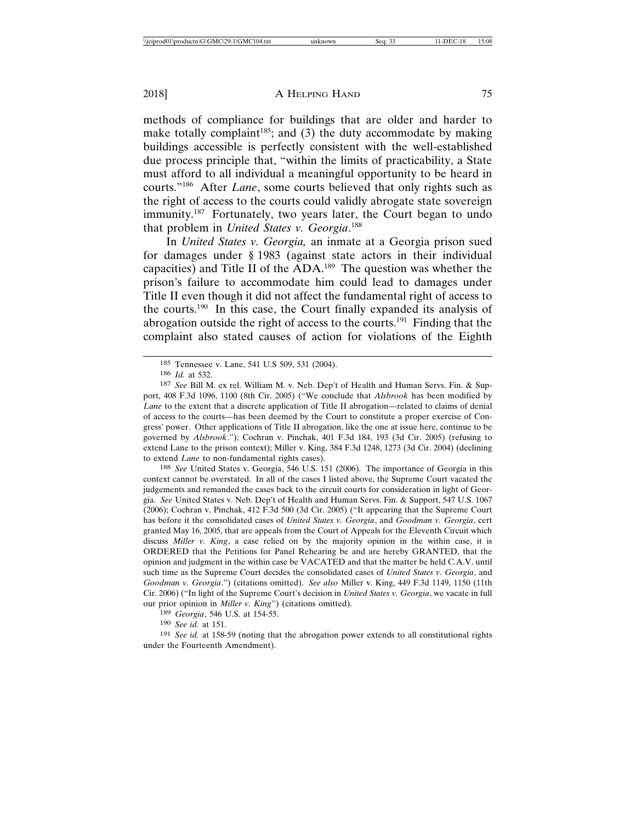methods of compliance for buildings that are older and harder to make totally complaint<sup>185</sup>; and (3) the duty accommodate by making buildings accessible is perfectly consistent with the well-established due process principle that, "within the limits of practicability, a State must afford to all individual a meaningful opportunity to be heard in courts."186 After *Lane*, some courts believed that only rights such as the right of access to the courts could validly abrogate state sovereign  $\text{immunity.}^{187}$  Fortunately, two years later, the Court began to undo that problem in *United States v. Georgia*. 188

In *United States v. Georgia,* an inmate at a Georgia prison sued for damages under § 1983 (against state actors in their individual capacities) and Title II of the ADA.189 The question was whether the prison's failure to accommodate him could lead to damages under Title II even though it did not affect the fundamental right of access to the courts.190 In this case, the Court finally expanded its analysis of abrogation outside the right of access to the courts.191 Finding that the complaint also stated causes of action for violations of the Eighth

188 *See* United States v. Georgia, 546 U.S. 151 (2006). The importance of Georgia in this context cannot be overstated. In all of the cases I listed above, the Supreme Court vacated the judgements and remanded the cases back to the circuit courts for consideration in light of Georgia. *See* United States v. Neb. Dep't of Health and Human Servs. Fin. & Support, 547 U.S. 1067 (2006); Cochran v. Pinchak, 412 F.3d 500 (3d Cir. 2005) ("It appearing that the Supreme Court has before it the consolidated cases of *United States v. Georgia*, and *Goodman v. Georgia*, cert granted May 16, 2005, that are appeals from the Court of Appeals for the Eleventh Circuit which discuss *Miller v. King*, a case relied on by the majority opinion in the within case, it is ORDERED that the Petitions for Panel Rehearing be and are hereby GRANTED, that the opinion and judgment in the within case be VACATED and that the matter be held C.A.V. until such time as the Supreme Court decides the consolidated cases of *United States v. Georgia*, and *Goodman v. Georgia*.") (citations omitted). *See also* Miller v. King, 449 F.3d 1149, 1150 (11th Cir. 2006) ("In light of the Supreme Court's decision in *United States v. Georgia*, we vacate in full our prior opinion in *Miller v. King*") (citations omitted).

189 *Georgia*, 546 U.S. at 154-55.

190 *See id.* at 151.

191 *See id.* at 158-59 (noting that the abrogation power extends to all constitutional rights under the Fourteenth Amendment).

<sup>185</sup> Tennessee v. Lane, 541 U.S 509, 531 (2004).

<sup>186</sup> *Id.* at 532.

<sup>187</sup> *See* Bill M. ex rel. William M. v. Neb. Dep't of Health and Human Servs. Fin. & Support, 408 F.3d 1096, 1100 (8th Cir. 2005) ("We conclude that *Alsbrook* has been modified by *Lane* to the extent that a discrete application of Title II abrogation—related to claims of denial of access to the courts—has been deemed by the Court to constitute a proper exercise of Congress' power. Other applications of Title II abrogation, like the one at issue here, continue to be governed by *Alsbrook*."); Cochran v. Pinchak, 401 F.3d 184, 193 (3d Cir. 2005) (refusing to extend Lane to the prison context); Miller v. King, 384 F.3d 1248, 1273 (3d Cir. 2004) (declining to extend *Lane* to non-fundamental rights cases).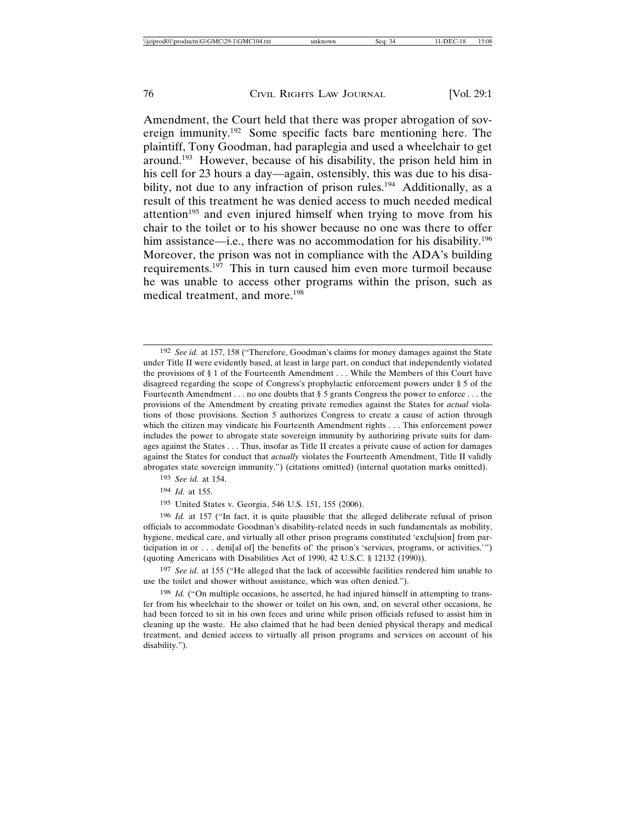Amendment, the Court held that there was proper abrogation of sovereign immunity.192 Some specific facts bare mentioning here. The plaintiff, Tony Goodman, had paraplegia and used a wheelchair to get around.193 However, because of his disability, the prison held him in his cell for 23 hours a day—again, ostensibly, this was due to his disability, not due to any infraction of prison rules.<sup>194</sup> Additionally, as a result of this treatment he was denied access to much needed medical attention<sup>195</sup> and even injured himself when trying to move from his chair to the toilet or to his shower because no one was there to offer him assistance—i.e., there was no accommodation for his disability.<sup>196</sup> Moreover, the prison was not in compliance with the ADA's building requirements.197 This in turn caused him even more turmoil because he was unable to access other programs within the prison, such as medical treatment, and more.<sup>198</sup>

194 *Id.* at 155.

196 *Id.* at 157 ("In fact, it is quite plausible that the alleged deliberate refusal of prison officials to accommodate Goodman's disability-related needs in such fundamentals as mobility, hygiene, medical care, and virtually all other prison programs constituted 'exclu[sion] from participation in or . . . deni[al of] the benefits of' the prison's 'services, programs, or activities.'") (quoting Americans with Disabilities Act of 1990, 42 U.S.C. § 12132 (1990)).

197 *See id.* at 155 ("He alleged that the lack of accessible facilities rendered him unable to use the toilet and shower without assistance, which was often denied.").

<sup>198</sup> *Id.* ("On multiple occasions, he asserted, he had injured himself in attempting to transfer from his wheelchair to the shower or toilet on his own, and, on several other occasions, he had been forced to sit in his own feces and urine while prison officials refused to assist him in cleaning up the waste. He also claimed that he had been denied physical therapy and medical treatment, and denied access to virtually all prison programs and services on account of his disability.").

<sup>192</sup> *See id.* at 157, 158 ("Therefore, Goodman's claims for money damages against the State under Title II were evidently based, at least in large part, on conduct that independently violated the provisions of § 1 of the Fourteenth Amendment . . . While the Members of this Court have disagreed regarding the scope of Congress's prophylactic enforcement powers under § 5 of the Fourteenth Amendment . . . no one doubts that § 5 grants Congress the power to enforce . . . the provisions of the Amendment by creating private remedies against the States for *actual* violations of those provisions. Section 5 authorizes Congress to create a cause of action through which the citizen may vindicate his Fourteenth Amendment rights . . . This enforcement power includes the power to abrogate state sovereign immunity by authorizing private suits for damages against the States . . . Thus, insofar as Title II creates a private cause of action for damages against the States for conduct that *actually* violates the Fourteenth Amendment, Title II validly abrogates state sovereign immunity.") (citations omitted) (internal quotation marks omitted).

<sup>193</sup> *See id.* at 154.

<sup>195</sup> United States v. Georgia, 546 U.S. 151, 155 (2006).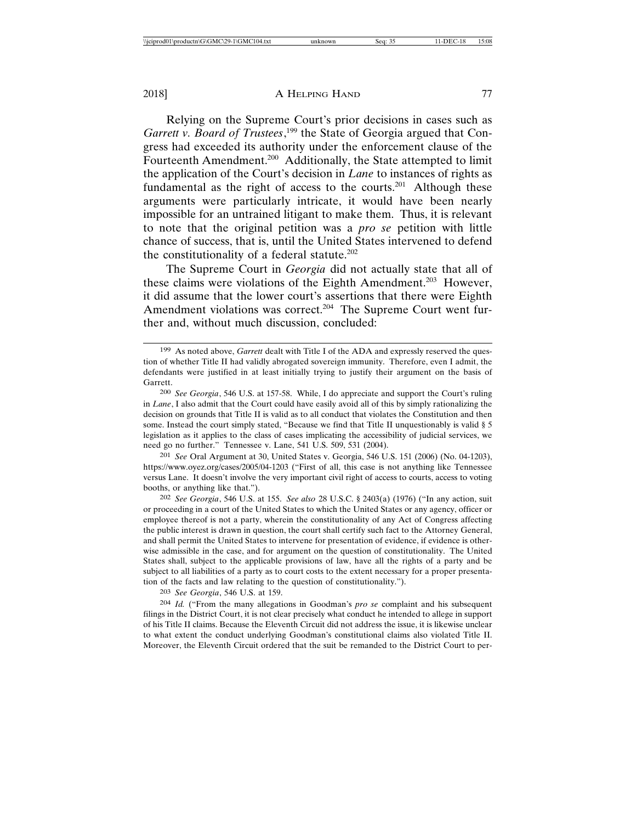Relying on the Supreme Court's prior decisions in cases such as Garrett v. Board of Trustees,<sup>199</sup> the State of Georgia argued that Congress had exceeded its authority under the enforcement clause of the Fourteenth Amendment.<sup>200</sup> Additionally, the State attempted to limit the application of the Court's decision in *Lane* to instances of rights as fundamental as the right of access to the courts.<sup>201</sup> Although these arguments were particularly intricate, it would have been nearly impossible for an untrained litigant to make them. Thus, it is relevant to note that the original petition was a *pro se* petition with little chance of success, that is, until the United States intervened to defend the constitutionality of a federal statute. $202$ 

The Supreme Court in *Georgia* did not actually state that all of these claims were violations of the Eighth Amendment.<sup>203</sup> However, it did assume that the lower court's assertions that there were Eighth Amendment violations was correct.<sup>204</sup> The Supreme Court went further and, without much discussion, concluded:

201 *See* Oral Argument at 30, United States v. Georgia, 546 U.S. 151 (2006) (No. 04-1203), https://www.oyez.org/cases/2005/04-1203 ("First of all, this case is not anything like Tennessee versus Lane. It doesn't involve the very important civil right of access to courts, access to voting booths, or anything like that.").

202 *See Georgia*, 546 U.S. at 155. *See also* 28 U.S.C. § 2403(a) (1976) ("In any action, suit or proceeding in a court of the United States to which the United States or any agency, officer or employee thereof is not a party, wherein the constitutionality of any Act of Congress affecting the public interest is drawn in question, the court shall certify such fact to the Attorney General, and shall permit the United States to intervene for presentation of evidence, if evidence is otherwise admissible in the case, and for argument on the question of constitutionality. The United States shall, subject to the applicable provisions of law, have all the rights of a party and be subject to all liabilities of a party as to court costs to the extent necessary for a proper presentation of the facts and law relating to the question of constitutionality.").

203 *See Georgia*, 546 U.S. at 159.

204 *Id.* ("From the many allegations in Goodman's *pro se* complaint and his subsequent filings in the District Court, it is not clear precisely what conduct he intended to allege in support of his Title II claims. Because the Eleventh Circuit did not address the issue, it is likewise unclear to what extent the conduct underlying Goodman's constitutional claims also violated Title II. Moreover, the Eleventh Circuit ordered that the suit be remanded to the District Court to per-

<sup>199</sup> As noted above, *Garrett* dealt with Title I of the ADA and expressly reserved the question of whether Title II had validly abrogated sovereign immunity. Therefore, even I admit, the defendants were justified in at least initially trying to justify their argument on the basis of Garrett.

<sup>200</sup> *See Georgia*, 546 U.S. at 157-58. While, I do appreciate and support the Court's ruling in *Lane*, I also admit that the Court could have easily avoid all of this by simply rationalizing the decision on grounds that Title II is valid as to all conduct that violates the Constitution and then some. Instead the court simply stated, "Because we find that Title II unquestionably is valid § 5 legislation as it applies to the class of cases implicating the accessibility of judicial services, we need go no further." Tennessee v. Lane, 541 U.S. 509, 531 (2004).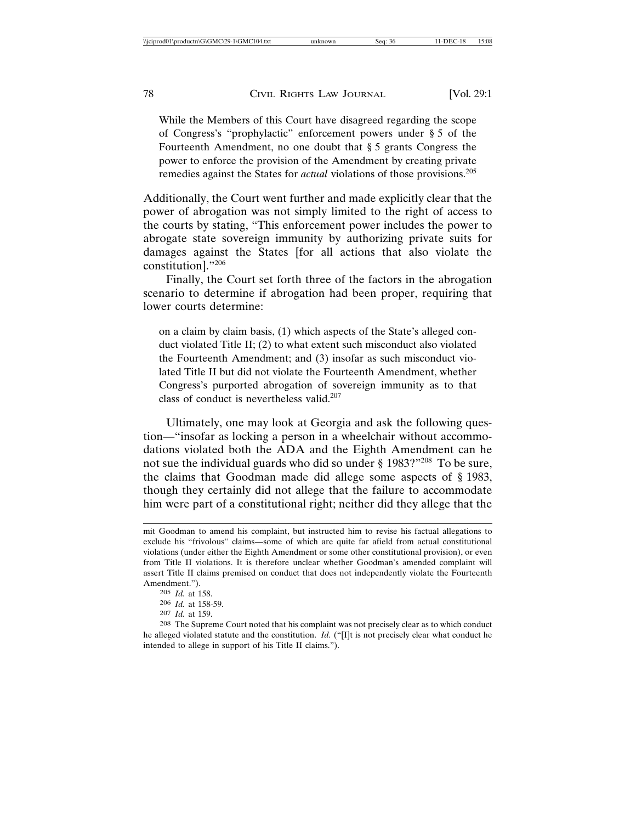While the Members of this Court have disagreed regarding the scope of Congress's "prophylactic" enforcement powers under § 5 of the Fourteenth Amendment, no one doubt that § 5 grants Congress the power to enforce the provision of the Amendment by creating private remedies against the States for *actual* violations of those provisions.<sup>205</sup>

Additionally, the Court went further and made explicitly clear that the power of abrogation was not simply limited to the right of access to the courts by stating, "This enforcement power includes the power to abrogate state sovereign immunity by authorizing private suits for damages against the States [for all actions that also violate the constitution]."206

Finally, the Court set forth three of the factors in the abrogation scenario to determine if abrogation had been proper, requiring that lower courts determine:

on a claim by claim basis, (1) which aspects of the State's alleged conduct violated Title II; (2) to what extent such misconduct also violated the Fourteenth Amendment; and (3) insofar as such misconduct violated Title II but did not violate the Fourteenth Amendment, whether Congress's purported abrogation of sovereign immunity as to that class of conduct is nevertheless valid.<sup>207</sup>

Ultimately, one may look at Georgia and ask the following question—"insofar as locking a person in a wheelchair without accommodations violated both the ADA and the Eighth Amendment can he not sue the individual guards who did so under § 1983?"208 To be sure, the claims that Goodman made did allege some aspects of § 1983, though they certainly did not allege that the failure to accommodate him were part of a constitutional right; neither did they allege that the

mit Goodman to amend his complaint, but instructed him to revise his factual allegations to exclude his "frivolous" claims—some of which are quite far afield from actual constitutional violations (under either the Eighth Amendment or some other constitutional provision), or even from Title II violations. It is therefore unclear whether Goodman's amended complaint will assert Title II claims premised on conduct that does not independently violate the Fourteenth Amendment.").

<sup>205</sup> *Id.* at 158.

<sup>206</sup> *Id.* at 158-59.

<sup>207</sup> *Id.* at 159.

<sup>208</sup> The Supreme Court noted that his complaint was not precisely clear as to which conduct he alleged violated statute and the constitution. *Id.* ("[I]t is not precisely clear what conduct he intended to allege in support of his Title II claims.").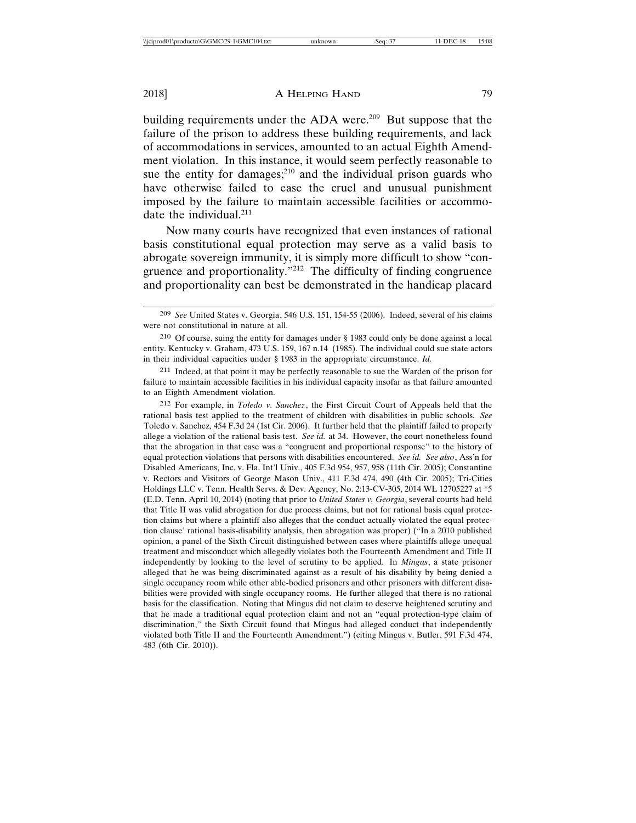building requirements under the ADA were.<sup>209</sup> But suppose that the failure of the prison to address these building requirements, and lack of accommodations in services, amounted to an actual Eighth Amendment violation. In this instance, it would seem perfectly reasonable to sue the entity for damages; $210$  and the individual prison guards who have otherwise failed to ease the cruel and unusual punishment imposed by the failure to maintain accessible facilities or accommodate the individual. $211$ 

Now many courts have recognized that even instances of rational basis constitutional equal protection may serve as a valid basis to abrogate sovereign immunity, it is simply more difficult to show "congruence and proportionality."212 The difficulty of finding congruence and proportionality can best be demonstrated in the handicap placard

211 Indeed, at that point it may be perfectly reasonable to sue the Warden of the prison for failure to maintain accessible facilities in his individual capacity insofar as that failure amounted to an Eighth Amendment violation.

212 For example, in *Toledo v. Sanchez*, the First Circuit Court of Appeals held that the rational basis test applied to the treatment of children with disabilities in public schools. *See* Toledo v. Sanchez, 454 F.3d 24 (1st Cir. 2006). It further held that the plaintiff failed to properly allege a violation of the rational basis test. *See id.* at 34. However, the court nonetheless found that the abrogation in that case was a "congruent and proportional response" to the history of equal protection violations that persons with disabilities encountered. *See id. See also*, Ass'n for Disabled Americans, Inc. v. Fla. Int'l Univ., 405 F.3d 954, 957, 958 (11th Cir. 2005); Constantine v. Rectors and Visitors of George Mason Univ., 411 F.3d 474, 490 (4th Cir. 2005); Tri-Cities Holdings LLC v. Tenn. Health Servs. & Dev. Agency, No. 2:13-CV-305, 2014 WL 12705227 at \*5 (E.D. Tenn. April 10, 2014) (noting that prior to *United States v. Georgia*, several courts had held that Title II was valid abrogation for due process claims, but not for rational basis equal protection claims but where a plaintiff also alleges that the conduct actually violated the equal protection clause' rational basis-disability analysis, then abrogation was proper) ("In a 2010 published opinion, a panel of the Sixth Circuit distinguished between cases where plaintiffs allege unequal treatment and misconduct which allegedly violates both the Fourteenth Amendment and Title II independently by looking to the level of scrutiny to be applied. In *Mingus*, a state prisoner alleged that he was being discriminated against as a result of his disability by being denied a single occupancy room while other able-bodied prisoners and other prisoners with different disabilities were provided with single occupancy rooms. He further alleged that there is no rational basis for the classification. Noting that Mingus did not claim to deserve heightened scrutiny and that he made a traditional equal protection claim and not an "equal protection-type claim of discrimination," the Sixth Circuit found that Mingus had alleged conduct that independently violated both Title II and the Fourteenth Amendment.") (citing Mingus v. Butler, 591 F.3d 474, 483 (6th Cir. 2010)).

<sup>209</sup> *See* United States v. Georgia, 546 U.S. 151, 154-55 (2006). Indeed, several of his claims were not constitutional in nature at all.

<sup>210</sup> Of course, suing the entity for damages under § 1983 could only be done against a local entity. Kentucky v. Graham, 473 U.S. 159, 167 n.14 (1985). The individual could sue state actors in their individual capacities under § 1983 in the appropriate circumstance. *Id.*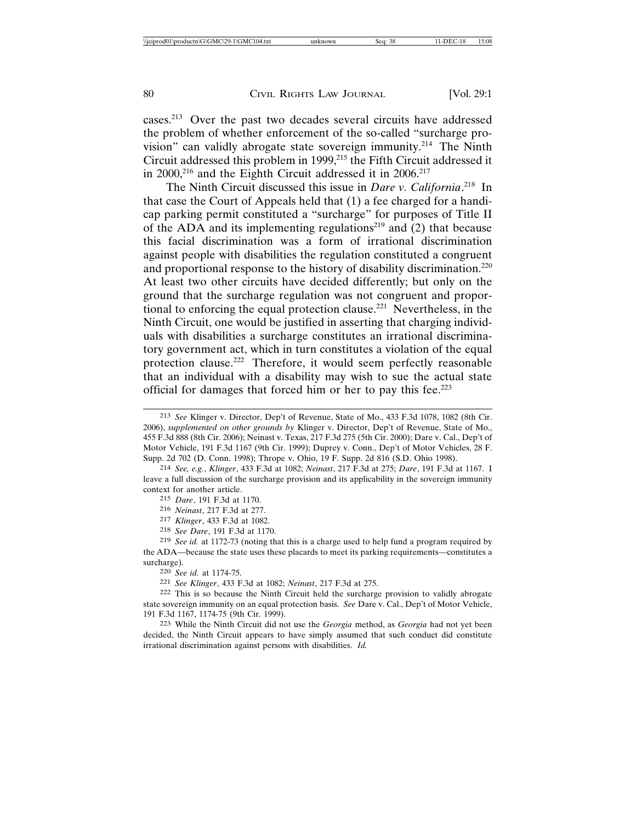cases.213 Over the past two decades several circuits have addressed the problem of whether enforcement of the so-called "surcharge provision" can validly abrogate state sovereign immunity.<sup>214</sup> The Ninth Circuit addressed this problem in 1999,215 the Fifth Circuit addressed it in 2000,<sup>216</sup> and the Eighth Circuit addressed it in 2006.<sup>217</sup>

The Ninth Circuit discussed this issue in *Dare v. California*. 218 In that case the Court of Appeals held that (1) a fee charged for a handicap parking permit constituted a "surcharge" for purposes of Title II of the ADA and its implementing regulations<sup>219</sup> and  $(2)$  that because this facial discrimination was a form of irrational discrimination against people with disabilities the regulation constituted a congruent and proportional response to the history of disability discrimination.220 At least two other circuits have decided differently; but only on the ground that the surcharge regulation was not congruent and proportional to enforcing the equal protection clause.<sup>221</sup> Nevertheless, in the Ninth Circuit, one would be justified in asserting that charging individuals with disabilities a surcharge constitutes an irrational discriminatory government act, which in turn constitutes a violation of the equal protection clause.222 Therefore, it would seem perfectly reasonable that an individual with a disability may wish to sue the actual state official for damages that forced him or her to pay this fee. $223$ 

221 *See Klinger*, 433 F.3d at 1082; *Neinast*, 217 F.3d at 275.

222 This is so because the Ninth Circuit held the surcharge provision to validly abrogate state sovereign immunity on an equal protection basis. *See* Dare v. Cal., Dep't of Motor Vehicle, 191 F.3d 1167, 1174-75 (9th Cir. 1999).

223 While the Ninth Circuit did not use the *Georgia* method, as *Georgia* had not yet been decided, the Ninth Circuit appears to have simply assumed that such conduct did constitute irrational discrimination against persons with disabilities. *Id.*

<sup>213</sup> *See* Klinger v. Director, Dep't of Revenue, State of Mo., 433 F.3d 1078, 1082 (8th Cir. 2006), *supplemented on other grounds by* Klinger v. Director, Dep't of Revenue, State of Mo., 455 F.3d 888 (8th Cir. 2006); Neinast v. Texas, 217 F.3d 275 (5th Cir. 2000); Dare v. Cal., Dep't of Motor Vehicle, 191 F.3d 1167 (9th Cir. 1999); Duprey v. Conn., Dep't of Motor Vehicles, 28 F. Supp. 2d 702 (D. Conn. 1998); Thrope v. Ohio, 19 F. Supp. 2d 816 (S.D. Ohio 1998).

<sup>214</sup> *See, e.g.*, *Klinger*, 433 F.3d at 1082; *Neinast*, 217 F.3d at 275; *Dare*, 191 F.3d at 1167. I leave a full discussion of the surcharge provision and its applicability in the sovereign immunity context for another article.

<sup>215</sup> *Dare*, 191 F.3d at 1170.

<sup>216</sup> *Neinast*, 217 F.3d at 277.

<sup>217</sup> *Klinger*, 433 F.3d at 1082.

<sup>218</sup> *See Dare*, 191 F.3d at 1170.

<sup>219</sup> *See id.* at 1172-73 (noting that this is a charge used to help fund a program required by the ADA—because the state uses these placards to meet its parking requirements—constitutes a surcharge).

<sup>220</sup> *See id.* at 1174-75.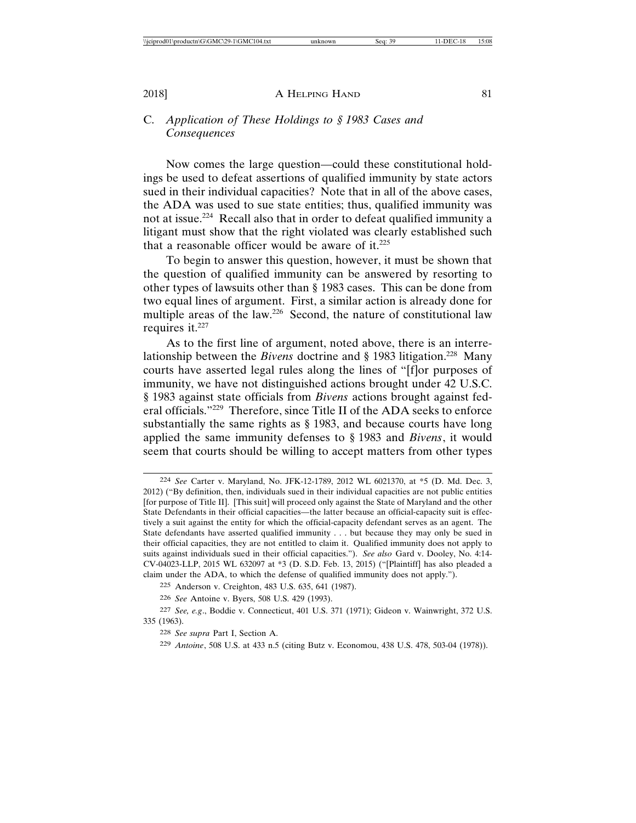# C. *Application of These Holdings to § 1983 Cases and Consequences*

Now comes the large question—could these constitutional holdings be used to defeat assertions of qualified immunity by state actors sued in their individual capacities? Note that in all of the above cases, the ADA was used to sue state entities; thus, qualified immunity was not at issue.224 Recall also that in order to defeat qualified immunity a litigant must show that the right violated was clearly established such that a reasonable officer would be aware of it. $225$ 

To begin to answer this question, however, it must be shown that the question of qualified immunity can be answered by resorting to other types of lawsuits other than § 1983 cases. This can be done from two equal lines of argument. First, a similar action is already done for multiple areas of the law.<sup>226</sup> Second, the nature of constitutional law requires it.<sup>227</sup>

As to the first line of argument, noted above, there is an interrelationship between the *Bivens* doctrine and § 1983 litigation.<sup>228</sup> Many courts have asserted legal rules along the lines of "[f]or purposes of immunity, we have not distinguished actions brought under 42 U.S.C. § 1983 against state officials from *Bivens* actions brought against federal officials."229 Therefore, since Title II of the ADA seeks to enforce substantially the same rights as § 1983, and because courts have long applied the same immunity defenses to § 1983 and *Bivens*, it would seem that courts should be willing to accept matters from other types

225 Anderson v. Creighton, 483 U.S. 635, 641 (1987).

226 *See* Antoine v. Byers, 508 U.S. 429 (1993).

<sup>224</sup> *See* Carter v. Maryland, No. JFK-12-1789, 2012 WL 6021370, at \*5 (D. Md. Dec. 3, 2012) ("By definition, then, individuals sued in their individual capacities are not public entities [for purpose of Title II]. [This suit] will proceed only against the State of Maryland and the other State Defendants in their official capacities—the latter because an official-capacity suit is effectively a suit against the entity for which the official-capacity defendant serves as an agent. The State defendants have asserted qualified immunity . . . but because they may only be sued in their official capacities, they are not entitled to claim it. Qualified immunity does not apply to suits against individuals sued in their official capacities."). *See also* Gard v. Dooley, No. 4:14- CV-04023-LLP, 2015 WL 632097 at \*3 (D. S.D. Feb. 13, 2015) ("[Plaintiff] has also pleaded a claim under the ADA, to which the defense of qualified immunity does not apply.").

<sup>227</sup> *See, e.g*., Boddie v. Connecticut, 401 U.S. 371 (1971); Gideon v. Wainwright, 372 U.S. 335 (1963).

<sup>228</sup> *See supra* Part I, Section A.

<sup>229</sup> *Antoine*, 508 U.S. at 433 n.5 (citing Butz v. Economou, 438 U.S. 478, 503-04 (1978)).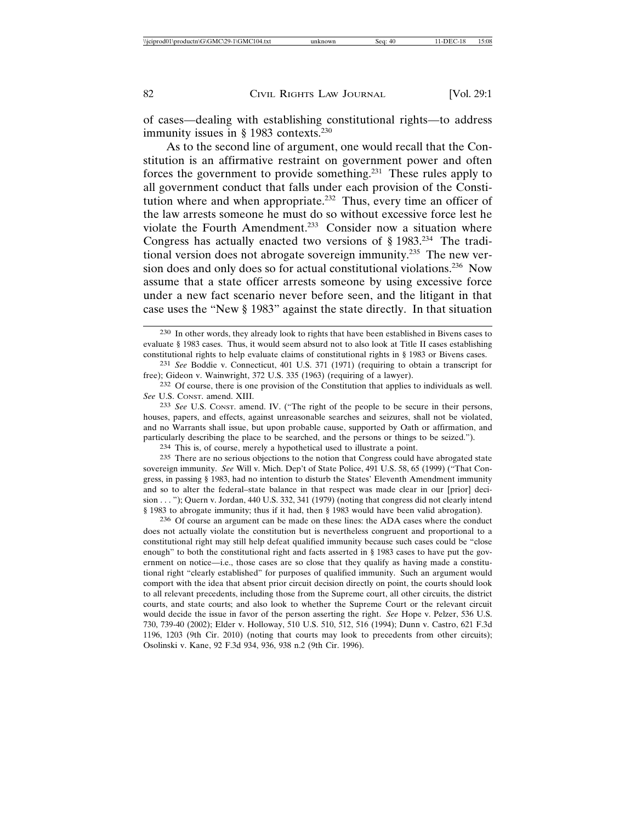of cases—dealing with establishing constitutional rights—to address immunity issues in  $\S$  1983 contexts.<sup>230</sup>

As to the second line of argument, one would recall that the Constitution is an affirmative restraint on government power and often forces the government to provide something.231 These rules apply to all government conduct that falls under each provision of the Constitution where and when appropriate.232 Thus, every time an officer of the law arrests someone he must do so without excessive force lest he violate the Fourth Amendment.<sup>233</sup> Consider now a situation where Congress has actually enacted two versions of § 1983.234 The traditional version does not abrogate sovereign immunity.<sup>235</sup> The new version does and only does so for actual constitutional violations.<sup>236</sup> Now assume that a state officer arrests someone by using excessive force under a new fact scenario never before seen, and the litigant in that case uses the "New § 1983" against the state directly. In that situation

234 This is, of course, merely a hypothetical used to illustrate a point.

235 There are no serious objections to the notion that Congress could have abrogated state sovereign immunity. *See* Will v. Mich. Dep't of State Police, 491 U.S. 58, 65 (1999) ("That Congress, in passing § 1983, had no intention to disturb the States' Eleventh Amendment immunity and so to alter the federal–state balance in that respect was made clear in our [prior] decision  $\dots$ "); Quern v. Jordan, 440 U.S. 332, 341 (1979) (noting that congress did not clearly intend § 1983 to abrogate immunity; thus if it had, then § 1983 would have been valid abrogation).

236 Of course an argument can be made on these lines: the ADA cases where the conduct does not actually violate the constitution but is nevertheless congruent and proportional to a constitutional right may still help defeat qualified immunity because such cases could be "close enough" to both the constitutional right and facts asserted in § 1983 cases to have put the government on notice—i.e., those cases are so close that they qualify as having made a constitutional right "clearly established" for purposes of qualified immunity. Such an argument would comport with the idea that absent prior circuit decision directly on point, the courts should look to all relevant precedents, including those from the Supreme court, all other circuits, the district courts, and state courts; and also look to whether the Supreme Court or the relevant circuit would decide the issue in favor of the person asserting the right. *See* Hope v. Pelzer, 536 U.S. 730, 739-40 (2002); Elder v. Holloway, 510 U.S. 510, 512, 516 (1994); Dunn v. Castro, 621 F.3d 1196, 1203 (9th Cir. 2010) (noting that courts may look to precedents from other circuits); Osolinski v. Kane, 92 F.3d 934, 936, 938 n.2 (9th Cir. 1996).

<sup>230</sup> In other words, they already look to rights that have been established in Bivens cases to evaluate § 1983 cases. Thus, it would seem absurd not to also look at Title II cases establishing constitutional rights to help evaluate claims of constitutional rights in § 1983 or Bivens cases.

<sup>231</sup> *See* Boddie v. Connecticut, 401 U.S. 371 (1971) (requiring to obtain a transcript for free); Gideon v. Wainwright, 372 U.S. 335 (1963) (requiring of a lawyer).

<sup>232</sup> Of course, there is one provision of the Constitution that applies to individuals as well. *See* U.S. CONST. amend. XIII.

<sup>233</sup> *See* U.S. CONST. amend. IV. ("The right of the people to be secure in their persons, houses, papers, and effects, against unreasonable searches and seizures, shall not be violated, and no Warrants shall issue, but upon probable cause, supported by Oath or affirmation, and particularly describing the place to be searched, and the persons or things to be seized.").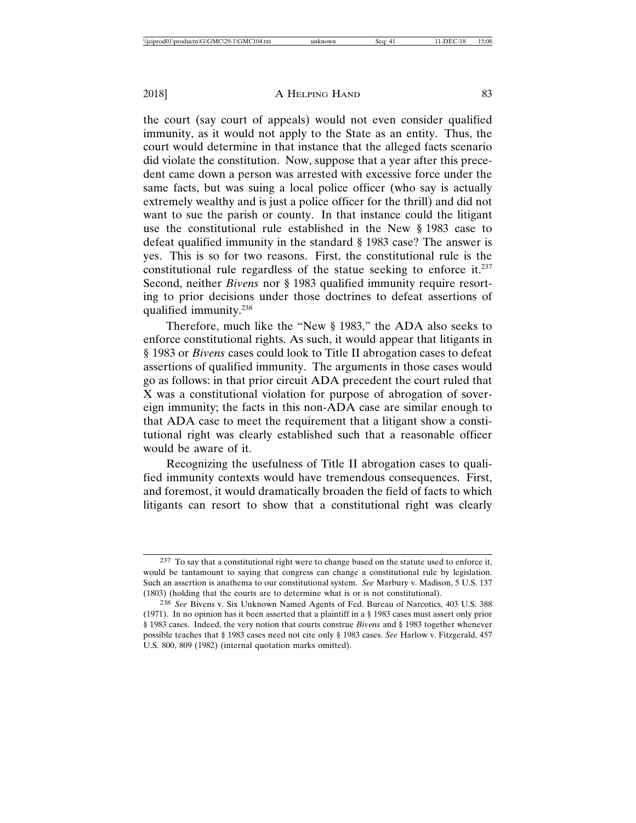the court (say court of appeals) would not even consider qualified immunity, as it would not apply to the State as an entity. Thus, the court would determine in that instance that the alleged facts scenario did violate the constitution. Now, suppose that a year after this precedent came down a person was arrested with excessive force under the same facts, but was suing a local police officer (who say is actually extremely wealthy and is just a police officer for the thrill) and did not want to sue the parish or county. In that instance could the litigant use the constitutional rule established in the New § 1983 case to defeat qualified immunity in the standard § 1983 case? The answer is yes. This is so for two reasons. First, the constitutional rule is the constitutional rule regardless of the statue seeking to enforce it. $237$ Second, neither *Bivens* nor § 1983 qualified immunity require resorting to prior decisions under those doctrines to defeat assertions of qualified immunity.238

Therefore, much like the "New § 1983," the ADA also seeks to enforce constitutional rights. As such, it would appear that litigants in § 1983 or *Bivens* cases could look to Title II abrogation cases to defeat assertions of qualified immunity. The arguments in those cases would go as follows: in that prior circuit ADA precedent the court ruled that X was a constitutional violation for purpose of abrogation of sovereign immunity; the facts in this non-ADA case are similar enough to that ADA case to meet the requirement that a litigant show a constitutional right was clearly established such that a reasonable officer would be aware of it.

Recognizing the usefulness of Title II abrogation cases to qualified immunity contexts would have tremendous consequences. First, and foremost, it would dramatically broaden the field of facts to which litigants can resort to show that a constitutional right was clearly

<sup>237</sup> To say that a constitutional right were to change based on the statute used to enforce it, would be tantamount to saying that congress can change a constitutional rule by legislation. Such an assertion is anathema to our constitutional system. *See* Marbury v. Madison, 5 U.S. 137 (1803) (holding that the courts are to determine what is or is not constitutional).

<sup>238</sup> *See* Bivens v. Six Unknown Named Agents of Fed. Bureau of Narcotics, 403 U.S. 388 (1971). In no opinion has it been asserted that a plaintiff in a § 1983 cases must assert only prior § 1983 cases. Indeed, the very notion that courts construe *Bivens* and § 1983 together whenever possible teaches that § 1983 cases need not cite only § 1983 cases. *See* Harlow v. Fitzgerald, 457 U.S. 800, 809 (1982) (internal quotation marks omitted).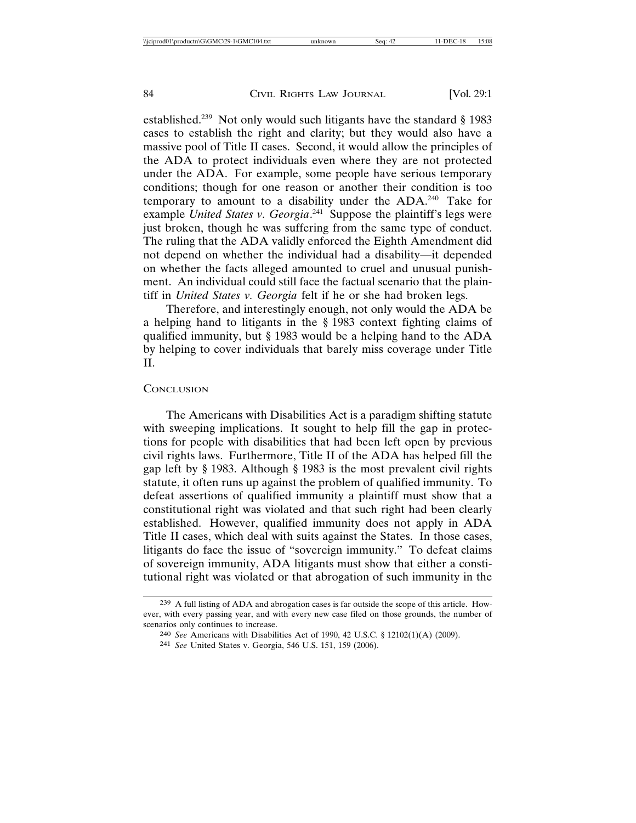established.239 Not only would such litigants have the standard § 1983 cases to establish the right and clarity; but they would also have a massive pool of Title II cases. Second, it would allow the principles of the ADA to protect individuals even where they are not protected under the ADA. For example, some people have serious temporary conditions; though for one reason or another their condition is too temporary to amount to a disability under the ADA.240 Take for example *United States v. Georgia*.<sup>241</sup> Suppose the plaintiff's legs were just broken, though he was suffering from the same type of conduct. The ruling that the ADA validly enforced the Eighth Amendment did not depend on whether the individual had a disability—it depended on whether the facts alleged amounted to cruel and unusual punishment. An individual could still face the factual scenario that the plaintiff in *United States v. Georgia* felt if he or she had broken legs.

Therefore, and interestingly enough, not only would the ADA be a helping hand to litigants in the § 1983 context fighting claims of qualified immunity, but § 1983 would be a helping hand to the ADA by helping to cover individuals that barely miss coverage under Title II.

#### **CONCLUSION**

The Americans with Disabilities Act is a paradigm shifting statute with sweeping implications. It sought to help fill the gap in protections for people with disabilities that had been left open by previous civil rights laws. Furthermore, Title II of the ADA has helped fill the gap left by § 1983. Although § 1983 is the most prevalent civil rights statute, it often runs up against the problem of qualified immunity. To defeat assertions of qualified immunity a plaintiff must show that a constitutional right was violated and that such right had been clearly established. However, qualified immunity does not apply in ADA Title II cases, which deal with suits against the States. In those cases, litigants do face the issue of "sovereign immunity." To defeat claims of sovereign immunity, ADA litigants must show that either a constitutional right was violated or that abrogation of such immunity in the

<sup>239</sup> A full listing of ADA and abrogation cases is far outside the scope of this article. However, with every passing year, and with every new case filed on those grounds, the number of scenarios only continues to increase.

<sup>240</sup> *See* Americans with Disabilities Act of 1990, 42 U.S.C. § 12102(1)(A) (2009).

<sup>241</sup> *See* United States v. Georgia, 546 U.S. 151, 159 (2006).